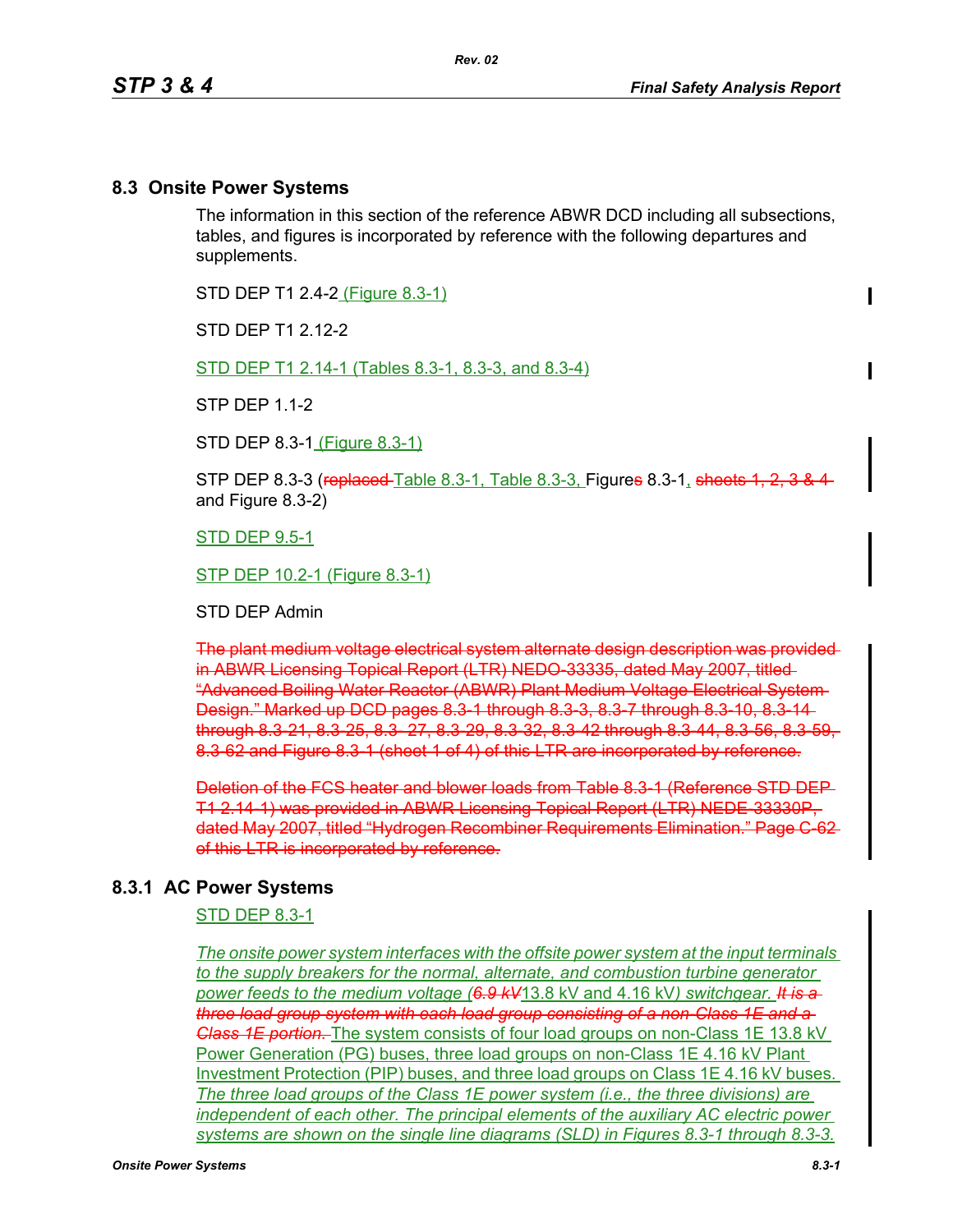#### **8.3 Onsite Power Systems**

The information in this section of the reference ABWR DCD including all subsections, tables, and figures is incorporated by reference with the following departures and supplements.

STD DEP T1 2.4-2 (Figure 8.3-1)

STD DFP T1 2 12-2

STD DEP T1 2.14-1 (Tables 8.3-1, 8.3-3, and 8.3-4)

STP DEP 1.1-2

STD DEP 8.3-1 (Figure 8.3-1)

STP DEP 8.3-3 (replaced-Table 8.3-1, Table 8.3-3, Figures 8.3-1, sheets 1, 2, 3 & 4 and Figure 8.3-2)

STD DEP 9.5-1

STP DEP 10.2-1 (Figure 8.3-1)

STD DEP Admin

The plant medium voltage electrical system alternate design description was provided in ABWR Licensing Topical Report (LTR) NEDO-33335, dated May 2007, titled "Advanced Boiling Water Reactor (ABWR) Plant Medium Voltage Electrical System Design." Marked up DCD pages 8.3-1 through 8.3-3, 8.3-7 through 8.3-10, 8.3-14 through 8.3-21, 8.3-25, 8.3- 27, 8.3-29, 8.3-32, 8.3-42 through 8.3-44, 8.3-56, 8.3-59, 8.3-62 and Figure 8.3-1 (sheet 1 of 4) of this LTR are incorporated by reference.

Deletion of the FCS heater and blower loads from Table 8.3-1 (Reference STD DEP T1 2.14-1) was provided in ABWR Licensing Topical Report (LTR) NEDE-33330P, dated May 2007, titled "Hydrogen Recombiner Requirements Elimination." Page C-62 of this LTR is incorporated by reference.

#### **8.3.1 AC Power Systems**

STD DEP 8.3-1

*The onsite power system interfaces with the offsite power system at the input terminals to the supply breakers for the normal, alternate, and combustion turbine generator power feeds to the medium voltage (6.9 kV*13.8 kV and 4.16 kV*) switchgear. It is a three load group system with each load group consisting of a non-Class 1E and a Class 1E portion.* The system consists of four load groups on non-Class 1E 13.8 kV Power Generation (PG) buses, three load groups on non-Class 1E 4.16 kV Plant Investment Protection (PIP) buses, and three load groups on Class 1E 4.16 kV buses. *The three load groups of the Class 1E power system (i.e., the three divisions) are independent of each other. The principal elements of the auxiliary AC electric power systems are shown on the single line diagrams (SLD) in Figures 8.3-1 through 8.3-3.*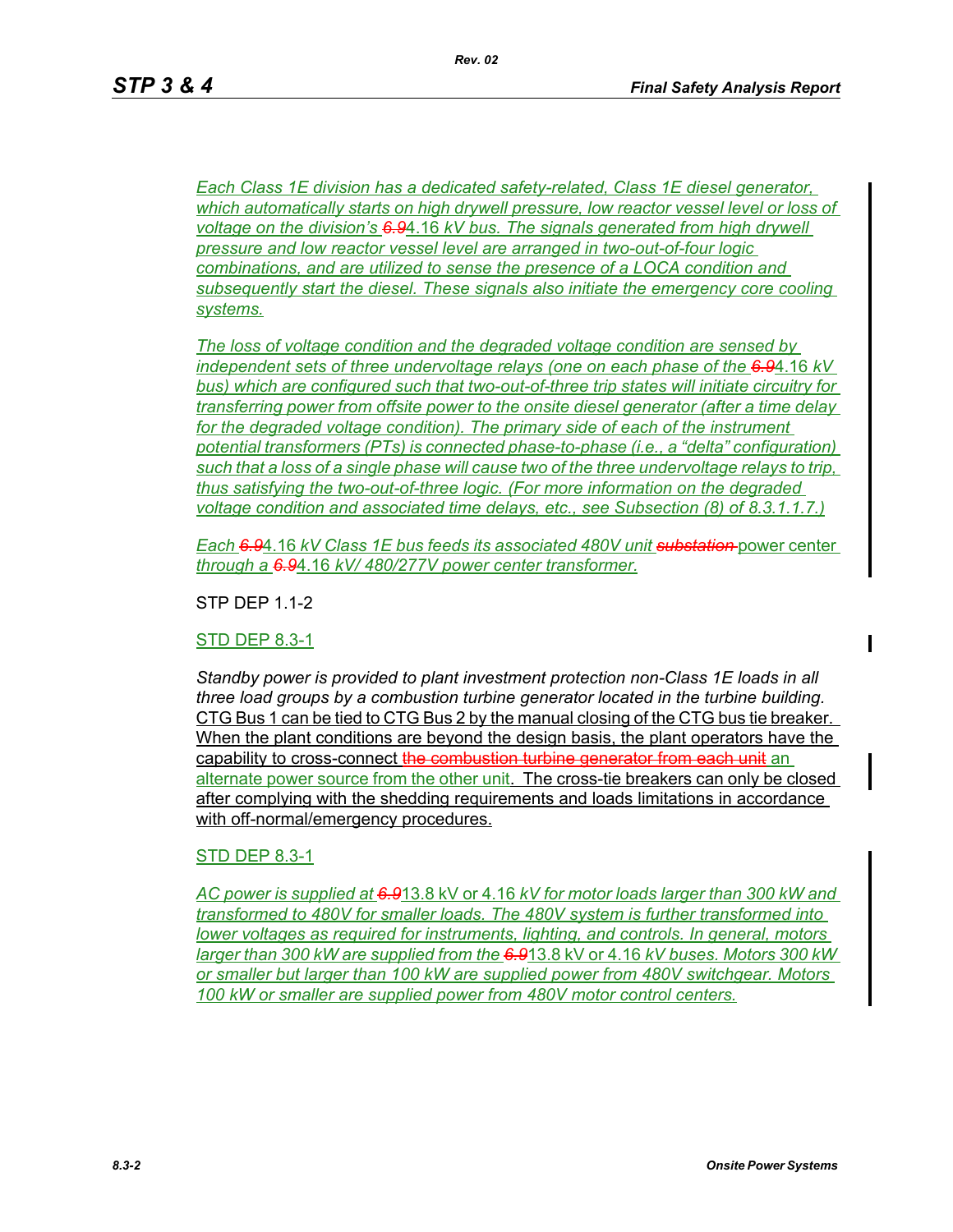*Each Class 1E division has a dedicated safety-related, Class 1E diesel generator, which automatically starts on high drywell pressure, low reactor vessel level or loss of voltage on the division's 6.9*4.16 *kV bus. The signals generated from high drywell pressure and low reactor vessel level are arranged in two-out-of-four logic combinations, and are utilized to sense the presence of a LOCA condition and subsequently start the diesel. These signals also initiate the emergency core cooling systems.*

*The loss of voltage condition and the degraded voltage condition are sensed by independent sets of three undervoltage relays (one on each phase of the 6.9*4.16 *kV bus) which are configured such that two-out-of-three trip states will initiate circuitry for transferring power from offsite power to the onsite diesel generator (after a time delay*  for the degraded voltage condition). The primary side of each of the instrument *potential transformers (PTs) is connected phase-to-phase (i.e., a "delta" configuration) such that a loss of a single phase will cause two of the three undervoltage relays to trip, thus satisfying the two-out-of-three logic. (For more information on the degraded voltage condition and associated time delays, etc., see Subsection (8) of 8.3.1.1.7.)*

*Each 6.9*4.16 *kV Class 1E bus feeds its associated 480V unit substation* power center *through a 6.9*4.16 *kV/ 480/277V power center transformer.*

STP DEP 1.1-2

STD DEP 8.3-1

*Standby power is provided to plant investment protection non-Class 1E loads in all three load groups by a combustion turbine generator located in the turbine building.* CTG Bus 1 can be tied to CTG Bus 2 by the manual closing of the CTG bus tie breaker. When the plant conditions are beyond the design basis, the plant operators have the capability to cross-connect the combustion turbine generator from each unit an alternate power source from the other unit. The cross-tie breakers can only be closed after complying with the shedding requirements and loads limitations in accordance with off-normal/emergency procedures.

STD DEP 8.3-1

*AC power is supplied at 6.9*13.8 kV or 4.16 *kV for motor loads larger than 300 kW and transformed to 480V for smaller loads. The 480V system is further transformed into lower voltages as required for instruments, lighting, and controls. In general, motors larger than 300 kW are supplied from the 6.9*13.8 kV or 4.16 *kV buses. Motors 300 kW or smaller but larger than 100 kW are supplied power from 480V switchgear. Motors 100 kW or smaller are supplied power from 480V motor control centers.*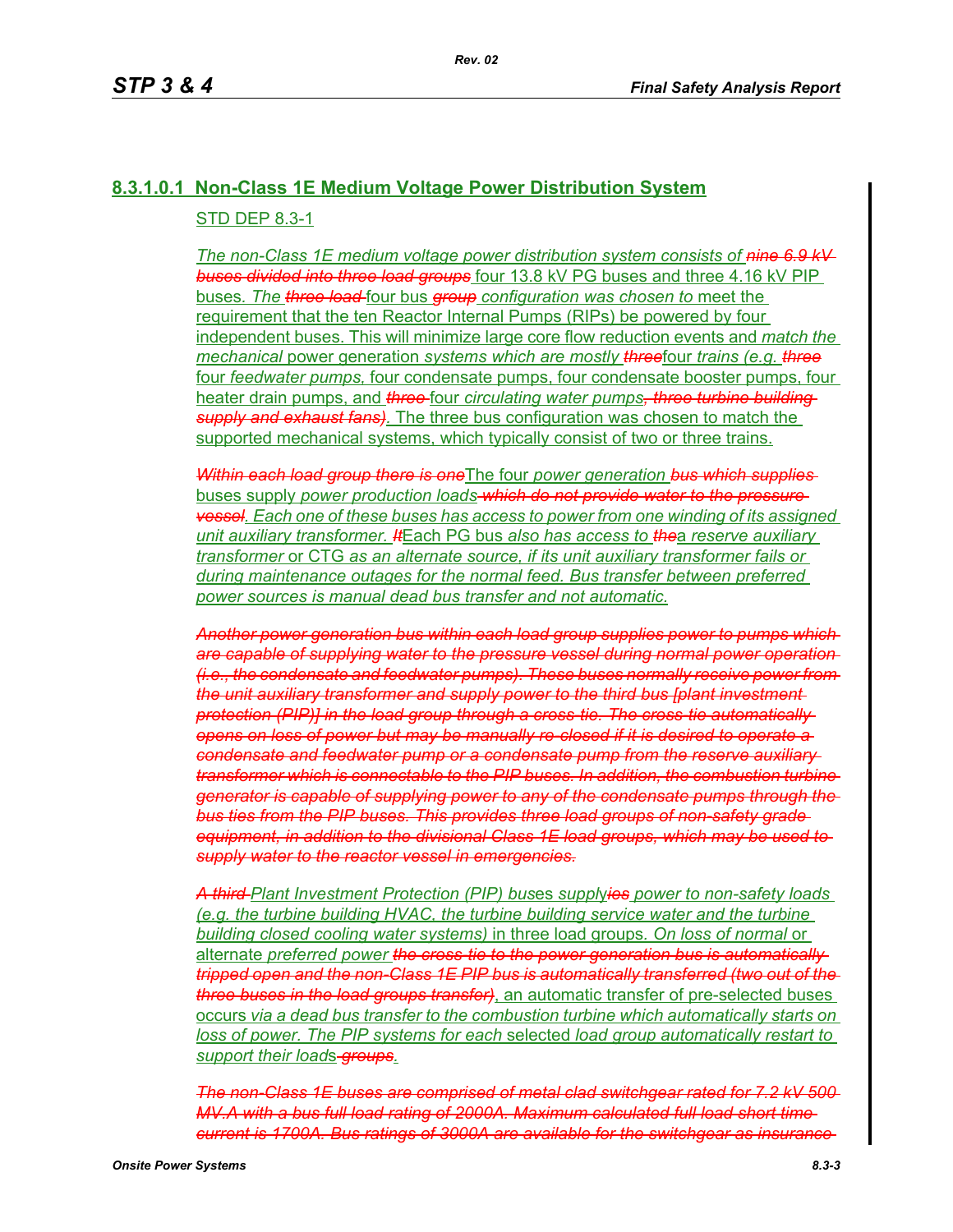# **8.3.1.0.1 Non-Class 1E Medium Voltage Power Distribution System** STD DEP 8.3-1

*The non-Class 1E medium voltage power distribution system consists of nine 6.9 kV buses divided into three load groups* four 13.8 kV PG buses and three 4.16 kV PIP buses*. The three load* four bus *group configuration was chosen to* meet the requirement that the ten Reactor Internal Pumps (RIPs) be powered by four independent buses. This will minimize large core flow reduction events and *match the mechanical* power generation *systems which are mostly three*four *trains (e.g. three* four *feedwater pumps,* four condensate pumps, four condensate booster pumps, four heater drain pumps, and *three* four *circulating water pumps, three turbine building supply and exhaust fans).* The three bus configuration was chosen to match the supported mechanical systems, which typically consist of two or three trains.

*Within each load group there is one*The four *power generation bus which supplies* buses supply *power production loads which do not provide water to the pressure vessel. Each one of these buses has access to power from one winding of its assigned unit auxiliary transformer. It*Each PG bus *also has access to the*a *reserve auxiliary transformer* or CTG *as an alternate source, if its unit auxiliary transformer fails or during maintenance outages for the normal feed. Bus transfer between preferred power sources is manual dead bus transfer and not automatic.*

*Another power generation bus within each load group supplies power to pumps which are capable of supplying water to the pressure vessel during normal power operation (i.e., the condensate and feedwater pumps). These buses normally receive power from the unit auxiliary transformer and supply power to the third bus [plant investment protection (PIP)] in the load group through a cross-tie. The cross-tie automatically opens on loss of power but may be manually re-closed if it is desired to operate a condensate and feedwater pump or a condensate pump from the reserve auxiliary transformer which is connectable to the PIP buses. In addition, the combustion turbine generator is capable of supplying power to any of the condensate pumps through the bus ties from the PIP buses. This provides three load groups of non-safety grade equipment, in addition to the divisional Class 1E load groups, which may be used to supply water to the reactor vessel in emergencies.*

*A third Plant Investment Protection (PIP) bus*es *suppl*y*ies power to non-safety loads (e.g. the turbine building HVAC, the turbine building service water and the turbine building closed cooling water systems)* in three load groups*. On loss of normal* or alternate *preferred power the cross-tie to the power generation bus is automatically tripped open and the non-Class 1E PIP bus is automatically transferred (two out of the three buses in the load groups transfer)*, an automatic transfer of pre-selected buses occurs *via a dead bus transfer to the combustion turbine which automatically starts on loss of power. The PIP systems for each* selected *load group automatically restart to support their load*s *groups.*

*The non-Class 1E buses are comprised of metal clad switchgear rated for 7.2 kV 500 MV.A with a bus full load rating of 2000A. Maximum calculated full load short time current is 1700A. Bus ratings of 3000A are available for the switchgear as insurance*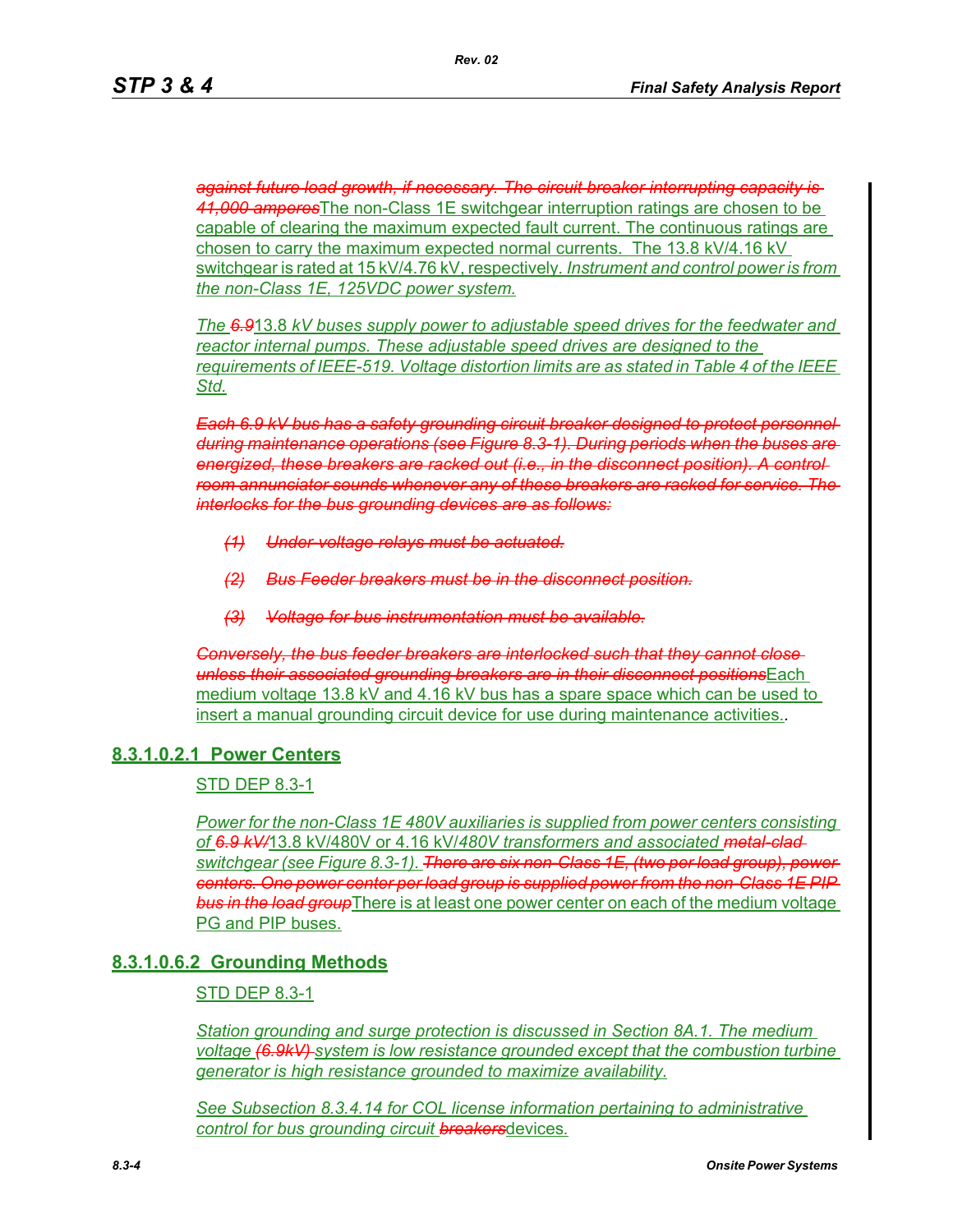*against future load growth, if necessary. The circuit breaker interrupting capacity is 41,000 amperes*The non-Class 1E switchgear interruption ratings are chosen to be capable of clearing the maximum expected fault current. The continuous ratings are chosen to carry the maximum expected normal currents. The 13.8 kV/4.16 kV switchgear is rated at 15 kV/4.76 kV, respectively*. Instrument and control power is from the non-Class 1E, 125VDC power system.*

*The 6.9*13.8 *kV buses supply power to adjustable speed drives for the feedwater and reactor internal pumps. These adjustable speed drives are designed to the requirements of IEEE-519. Voltage distortion limits are as stated in Table 4 of the IEEE Std.*

*Each 6.9 kV bus has a safety grounding circuit breaker designed to protect personnel during maintenance operations (see Figure 8.3-1). During periods when the buses are energized, these breakers are racked out (i.e., in the disconnect position). A control room annunciator sounds whenever any of these breakers are racked for service. The interlocks for the bus grounding devices are as follows:*

- *(1) Under-voltage relays must be actuated.*
- *(2) Bus Feeder breakers must be in the disconnect position.*
- *(3) Voltage for bus instrumentation must be available.*

*Conversely, the bus feeder breakers are interlocked such that they cannot close unless their associated grounding breakers are in their disconnect positions*Each medium voltage 13.8 kV and 4.16 kV bus has a spare space which can be used to insert a manual grounding circuit device for use during maintenance activities.*.*

## **8.3.1.0.2.1 Power Centers**

#### STD DEP 8.3-1

*Power for the non-Class 1E 480V auxiliaries is supplied from power centers consisting of 6.9 kV/*13.8 kV/480V or 4.16 kV/*480V transformers and associated metal-clad switchgear (see Figure 8.3-1). There are six non-Class 1E, (two per load group), power centers. One power center per load group is supplied power from the non-Class 1E PIP bus in the load group*There is at least one power center on each of the medium voltage PG and PIP buses.

## **8.3.1.0.6.2 Grounding Methods**

#### STD DEP 8.3-1

*Station grounding and surge protection is discussed in Section 8A.1. The medium voltage (6.9kV) system is low resistance grounded except that the combustion turbine generator is high resistance grounded to maximize availability.*

*See Subsection 8.3.4.14 for COL license information pertaining to administrative control for bus grounding circuit breakers*devices*.*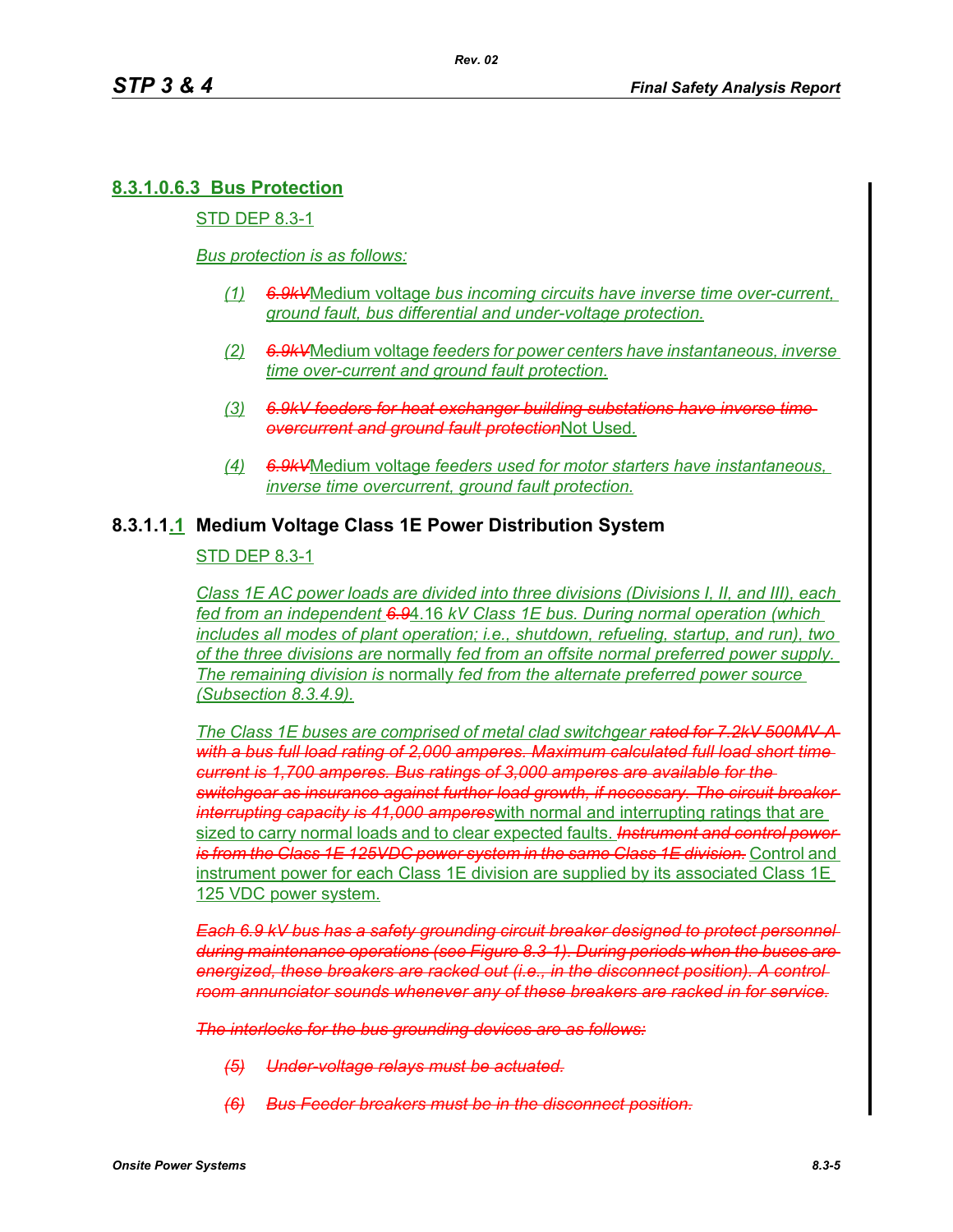## **8.3.1.0.6.3 Bus Protection**

STD DEP 8.3-1

#### *Bus protection is as follows:*

- *(1) 6.9kV*Medium voltage *bus incoming circuits have inverse time over-current, ground fault, bus differential and under-voltage protection.*
- *(2) 6.9kV*Medium voltage *feeders for power centers have instantaneous, inverse time over-current and ground fault protection.*
- *(3) 6.9kV feeders for heat exchanger building substations have inverse time overcurrent and ground fault protection*Not Used*.*
- *(4) 6.9kV*Medium voltage *feeders used for motor starters have instantaneous, inverse time overcurrent, ground fault protection.*

#### **8.3.1.1.1 Medium Voltage Class 1E Power Distribution System**

#### STD DEP 8.3-1

*Class 1E AC power loads are divided into three divisions (Divisions I, II, and III), each fed from an independent 6.9*4.16 *kV Class 1E bus. During normal operation (which includes all modes of plant operation; i.e., shutdown, refueling, startup, and run), two of the three divisions are* normally *fed from an offsite normal preferred power supply. The remaining division is* normally *fed from the alternate preferred power source (Subsection 8.3.4.9).*

*The Class 1E buses are comprised of metal clad switchgear rated for 7.2kV 500MV-A with a bus full load rating of 2,000 amperes. Maximum calculated full load short time current is 1,700 amperes. Bus ratings of 3,000 amperes are available for the switchgear as insurance against further load growth, if necessary. The circuit breaker interrupting capacity is 41,000 amperes*with normal and interrupting ratings that are sized to carry normal loads and to clear expected faults. *Instrument and control power is from the Class 1E 125VDC power system in the same Class 1E division.* Control and instrument power for each Class 1E division are supplied by its associated Class 1E 125 VDC power system.

*Each 6.9 kV bus has a safety grounding circuit breaker designed to protect personnel during maintenance operations (see Figure 8.3-1). During periods when the buses are energized, these breakers are racked out (i.e., in the disconnect position). A control room annunciator sounds whenever any of these breakers are racked in for service.*

*The interlocks for the bus grounding devices are as follows:*

- *(5) Under-voltage relays must be actuated.*
- *(6) Bus Feeder breakers must be in the disconnect position.*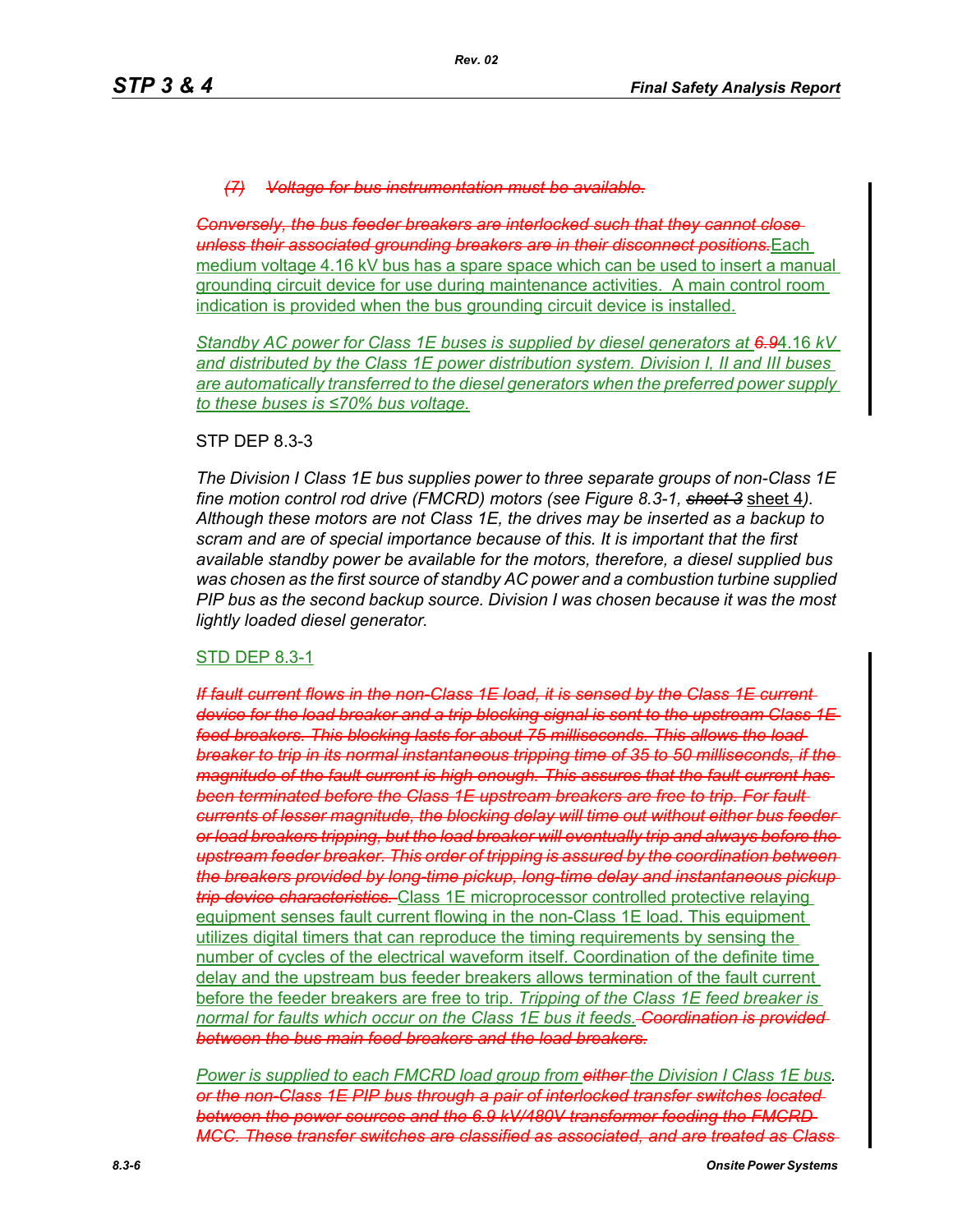#### *(7) Voltage for bus instrumentation must be available.*

*Conversely, the bus feeder breakers are interlocked such that they cannot close unless their associated grounding breakers are in their disconnect positions.*Each medium voltage 4.16 kV bus has a spare space which can be used to insert a manual grounding circuit device for use during maintenance activities. A main control room indication is provided when the bus grounding circuit device is installed.

*Standby AC power for Class 1E buses is supplied by diesel generators at 6.9*4.16 *kV and distributed by the Class 1E power distribution system. Division I, II and III buses are automatically transferred to the diesel generators when the preferred power supply to these buses is ≤70% bus voltage.*

#### STP DEP 8.3-3

*The Division I Class 1E bus supplies power to three separate groups of non-Class 1E fine motion control rod drive (FMCRD) motors (see Figure 8.3-1, sheet 3* sheet 4*). Although these motors are not Class 1E, the drives may be inserted as a backup to scram and are of special importance because of this. It is important that the first available standby power be available for the motors, therefore, a diesel supplied bus was chosen as the first source of standby AC power and a combustion turbine supplied PIP bus as the second backup source. Division I was chosen because it was the most lightly loaded diesel generator.*

#### STD DEP 8.3-1

*If fault current flows in the non-Class 1E load, it is sensed by the Class 1E current device for the load breaker and a trip blocking signal is sent to the upstream Class 1E feed breakers. This blocking lasts for about 75 milliseconds. This allows the load breaker to trip in its normal instantaneous tripping time of 35 to 50 milliseconds, if the magnitude of the fault current is high enough. This assures that the fault current has been terminated before the Class 1E upstream breakers are free to trip. For fault currents of lesser magnitude, the blocking delay will time out without either bus feeder or load breakers tripping, but the load breaker will eventually trip and always before the upstream feeder breaker. This order of tripping is assured by the coordination between the breakers provided by long-time pickup, long-time delay and instantaneous pickup trip device characteristics.* Class 1E microprocessor controlled protective relaying equipment senses fault current flowing in the non-Class 1E load. This equipment utilizes digital timers that can reproduce the timing requirements by sensing the number of cycles of the electrical waveform itself. Coordination of the definite time delay and the upstream bus feeder breakers allows termination of the fault current before the feeder breakers are free to trip. *Tripping of the Class 1E feed breaker is normal for faults which occur on the Class 1E bus it feeds. Coordination is provided between the bus main feed breakers and the load breakers.*

*Power is supplied to each FMCRD load group from either the Division I Class 1E bus. or the non-Class 1E PIP bus through a pair of interlocked transfer switches located between the power sources and the 6.9 kV/480V transformer feeding the FMCRD MCC. These transfer switches are classified as associated, and are treated as Class*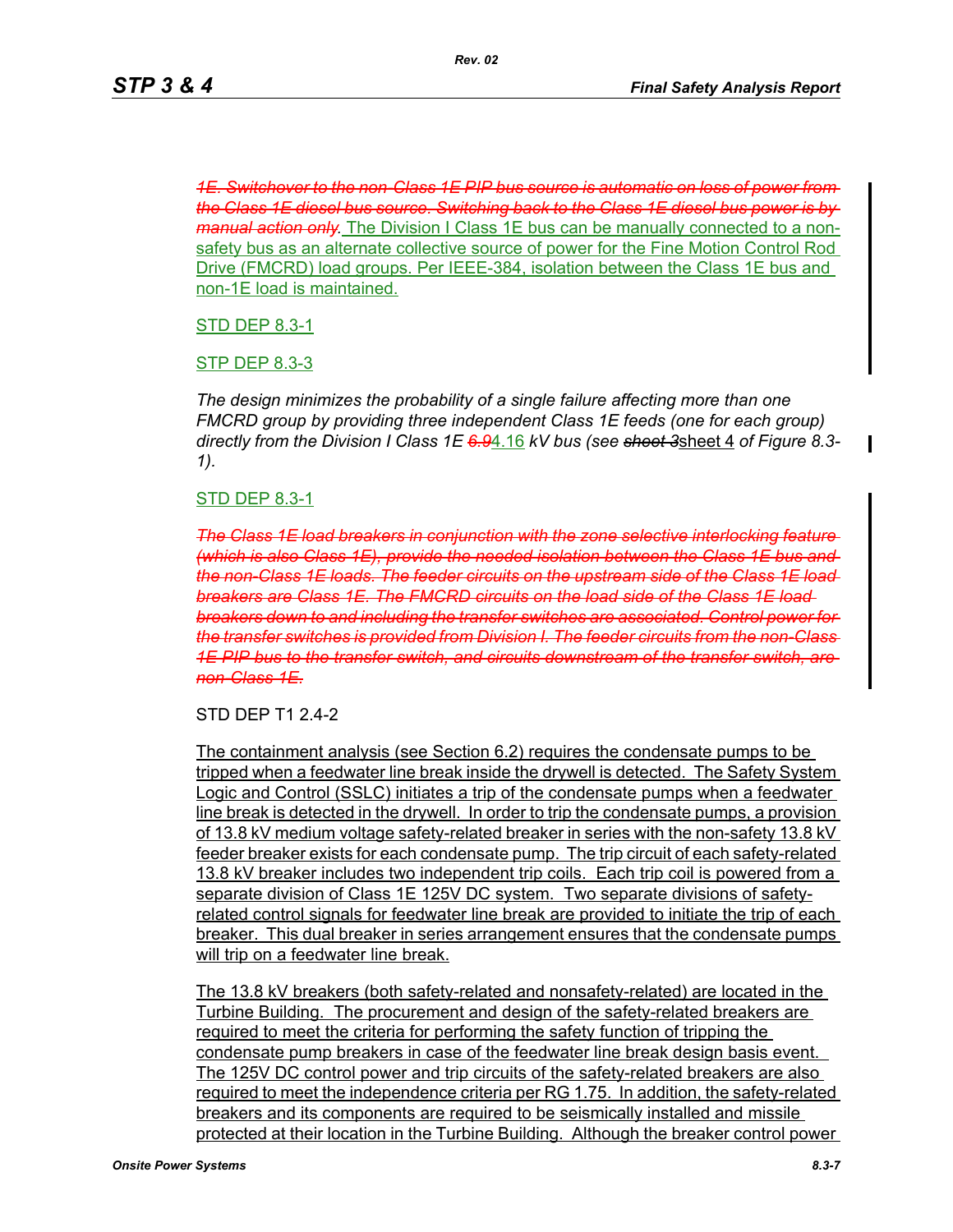*1E. Switchover to the non-Class 1E PIP bus source is automatic on loss of power from the Class 1E diesel bus source. Switching back to the Class 1E diesel bus power is by manual action only.* The Division I Class 1E bus can be manually connected to a nonsafety bus as an alternate collective source of power for the Fine Motion Control Rod Drive (FMCRD) load groups. Per IEEE-384, isolation between the Class 1E bus and non-1E load is maintained.

STD DEP 8.3-1

STP DEP 8.3-3

*The design minimizes the probability of a single failure affecting more than one FMCRD group by providing three independent Class 1E feeds (one for each group) directly from the Division I Class 1E 6.9*4.16 *kV bus (see sheet 3*sheet 4 *of Figure 8.3- 1).*

STD DEP 8.3-1

*The Class 1E load breakers in conjunction with the zone selective interlocking feature (which is also Class 1E), provide the needed isolation between the Class 1E bus and the non-Class 1E loads. The feeder circuits on the upstream side of the Class 1E load breakers are Class 1E. The FMCRD circuits on the load side of the Class 1E load breakers down to and including the transfer switches are associated. Control power for the transfer switches is provided from Division I. The feeder circuits from the non-Class 1E PIP bus to the transfer switch, and circuits downstream of the transfer switch, are non-Class 1E.*

STD DEP T1 2.4-2

The containment analysis (see Section 6.2) requires the condensate pumps to be tripped when a feedwater line break inside the drywell is detected. The Safety System Logic and Control (SSLC) initiates a trip of the condensate pumps when a feedwater line break is detected in the drywell. In order to trip the condensate pumps, a provision of 13.8 kV medium voltage safety-related breaker in series with the non-safety 13.8 kV feeder breaker exists for each condensate pump. The trip circuit of each safety-related 13.8 kV breaker includes two independent trip coils. Each trip coil is powered from a separate division of Class 1E 125V DC system. Two separate divisions of safetyrelated control signals for feedwater line break are provided to initiate the trip of each breaker. This dual breaker in series arrangement ensures that the condensate pumps will trip on a feedwater line break.

The 13.8 kV breakers (both safety-related and nonsafety-related) are located in the Turbine Building. The procurement and design of the safety-related breakers are required to meet the criteria for performing the safety function of tripping the condensate pump breakers in case of the feedwater line break design basis event. The 125V DC control power and trip circuits of the safety-related breakers are also required to meet the independence criteria per RG 1.75. In addition, the safety-related breakers and its components are required to be seismically installed and missile protected at their location in the Turbine Building. Although the breaker control power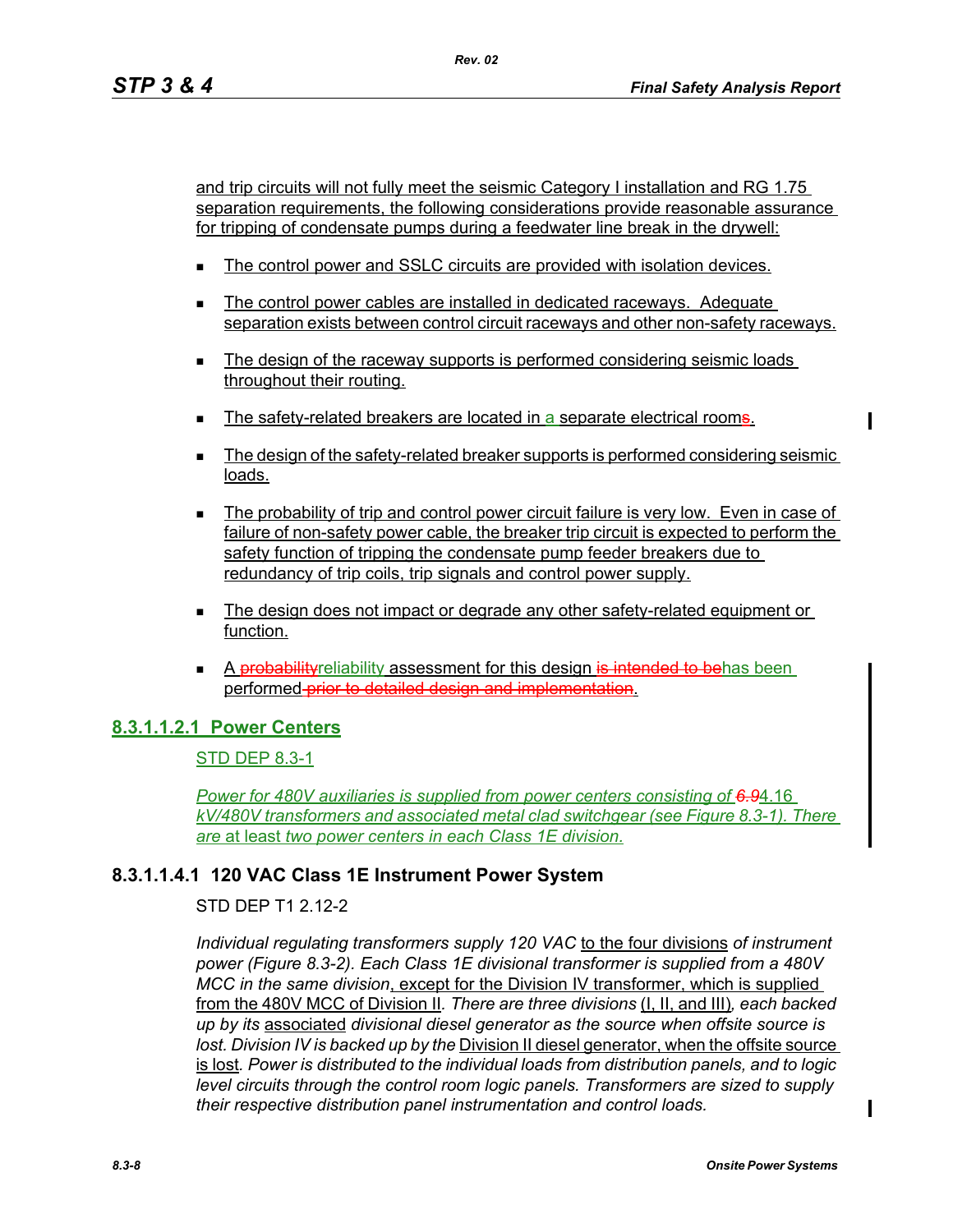and trip circuits will not fully meet the seismic Category I installation and RG 1.75 separation requirements, the following considerations provide reasonable assurance for tripping of condensate pumps during a feedwater line break in the drywell:

- The control power and SSLC circuits are provided with isolation devices.
- **The control power cables are installed in dedicated raceways. Adequate** separation exists between control circuit raceways and other non-safety raceways.
- The design of the raceway supports is performed considering seismic loads throughout their routing.
- The safety-related breakers are located in a separate electrical rooms.
- **The design of the safety-related breaker supports is performed considering seismic** loads.
- **The probability of trip and control power circuit failure is very low. Even in case of** failure of non-safety power cable, the breaker trip circuit is expected to perform the safety function of tripping the condensate pump feeder breakers due to redundancy of trip coils, trip signals and control power supply.
- The design does not impact or degrade any other safety-related equipment or function.
- A probability reliability assessment for this design is intended to behas been performed prior to detailed design and implementation.

## **8.3.1.1.2.1 Power Centers**

#### STD DEP 8.3-1

*Power for 480V auxiliaries is supplied from power centers consisting of 6.9*4.16 *kV/480V transformers and associated metal clad switchgear (see Figure 8.3-1). There are* at least *two power centers in each Class 1E division.*

## **8.3.1.1.4.1 120 VAC Class 1E Instrument Power System**

## STD DEP T1 2.12-2

*Individual regulating transformers supply 120 VAC* to the four divisions *of instrument power (Figure 8.3-2). Each Class 1E divisional transformer is supplied from a 480V MCC in the same division*, except for the Division IV transformer, which is supplied from the 480V MCC of Division II*. There are three divisions* (I, II, and III)*, each backed up by its* associated *divisional diesel generator as the source when offsite source is lost. Division IV is backed up by the Division II diesel generator, when the offsite source* is lost*. Power is distributed to the individual loads from distribution panels, and to logic level circuits through the control room logic panels. Transformers are sized to supply their respective distribution panel instrumentation and control loads.*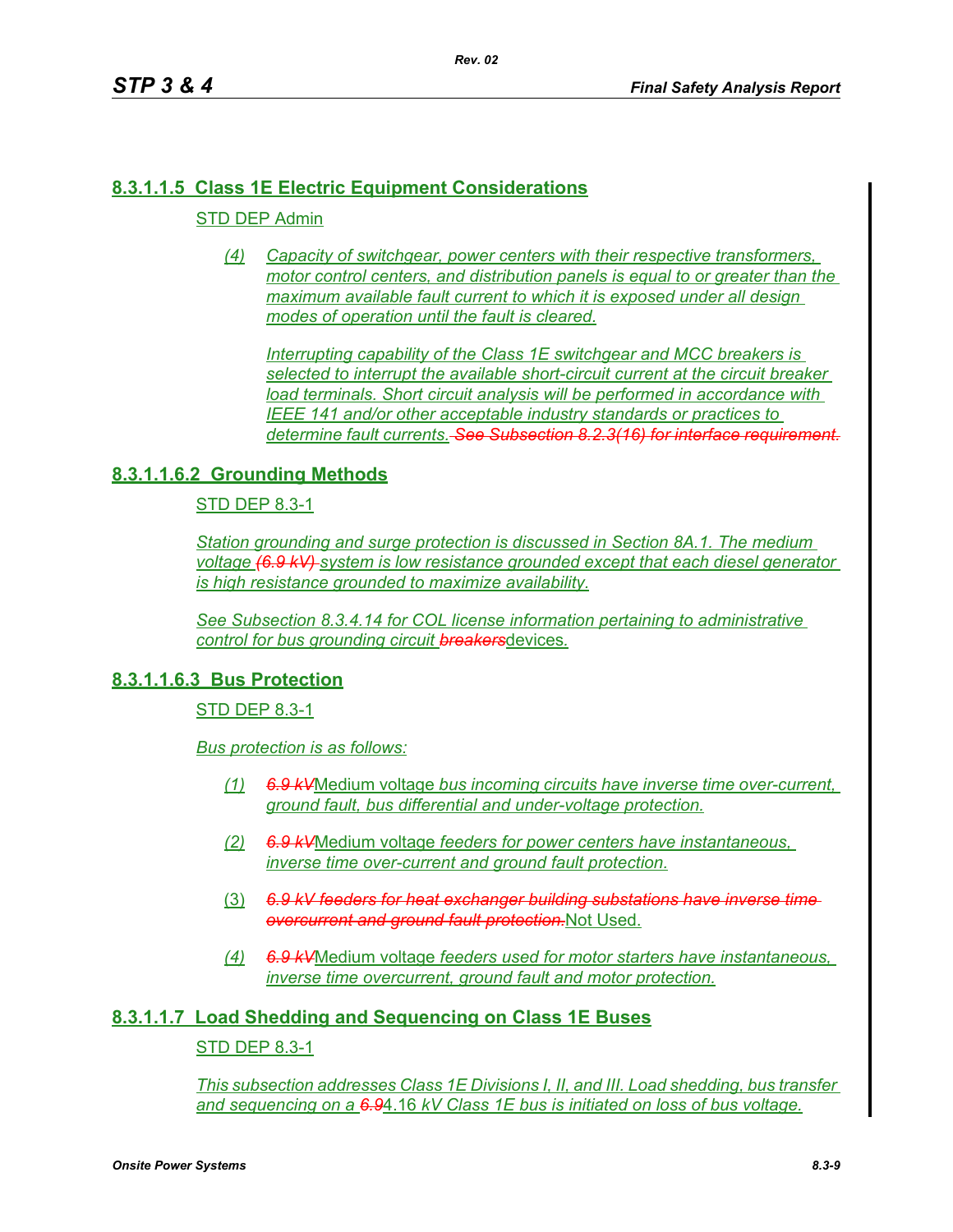## **8.3.1.1.5 Class 1E Electric Equipment Considerations**

#### STD DEP Admin

*(4) Capacity of switchgear, power centers with their respective transformers, motor control centers, and distribution panels is equal to or greater than the maximum available fault current to which it is exposed under all design modes of operation until the fault is cleared.*

*Interrupting capability of the Class 1E switchgear and MCC breakers is selected to interrupt the available short-circuit current at the circuit breaker load terminals. Short circuit analysis will be performed in accordance with IEEE 141 and/or other acceptable industry standards or practices to determine fault currents. See Subsection 8.2.3(16) for interface requirement.*

## **8.3.1.1.6.2 Grounding Methods**

#### STD DEP 8.3-1

*Station grounding and surge protection is discussed in Section 8A.1. The medium voltage (6.9 kV) system is low resistance grounded except that each diesel generator is high resistance grounded to maximize availability.*

*See Subsection 8.3.4.14 for COL license information pertaining to administrative control for bus grounding circuit breakers*devices*.*

## **8.3.1.1.6.3 Bus Protection**

#### STD DEP 8.3-1

*Bus protection is as follows:*

- *(1) 6.9 kV*Medium voltage *bus incoming circuits have inverse time over-current, ground fault, bus differential and under-voltage protection.*
- *(2) 6.9 kV*Medium voltage *feeders for power centers have instantaneous, inverse time over-current and ground fault protection.*
- (3) *6.9 kV feeders for heat exchanger building substations have inverse time overcurrent and ground fault protection.*Not Used.
- *(4) 6.9 kV*Medium voltage *feeders used for motor starters have instantaneous, inverse time overcurrent, ground fault and motor protection.*

## **8.3.1.1.7 Load Shedding and Sequencing on Class 1E Buses**

#### STD DEP 8.3-1

*This subsection addresses Class 1E Divisions I, II, and III. Load shedding, bus transfer and sequencing on a 6.9*4.16 *kV Class 1E bus is initiated on loss of bus voltage.*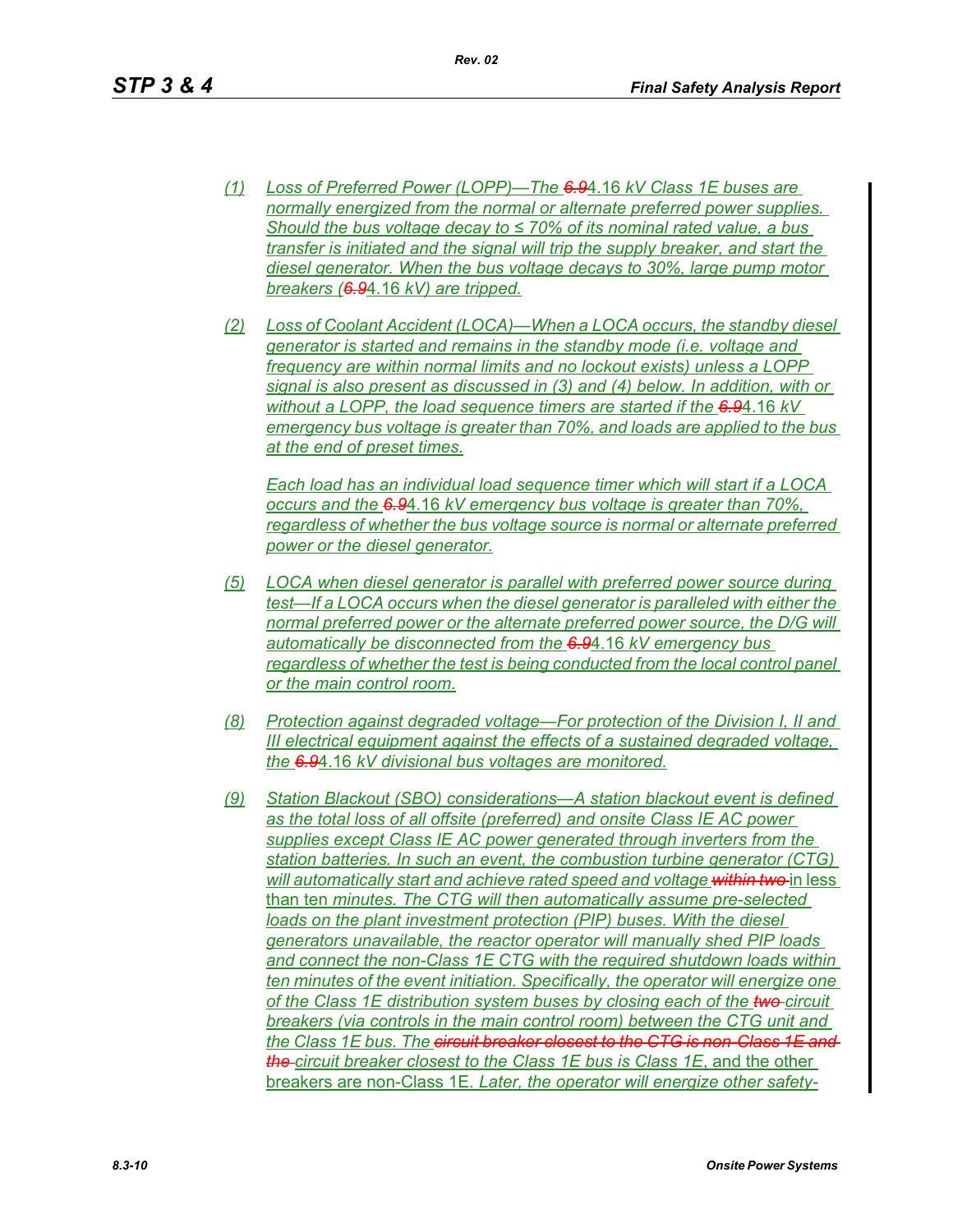- *(1) Loss of Preferred Power (LOPP)—The 6.9*4.16 *kV Class 1E buses are normally energized from the normal or alternate preferred power supplies. Should the bus voltage decay to ≤ 70% of its nominal rated value, a bus transfer is initiated and the signal will trip the supply breaker, and start the diesel generator. When the bus voltage decays to 30%, large pump motor breakers (6.9*4.16 *kV) are tripped.*
- *(2) Loss of Coolant Accident (LOCA)—When a LOCA occurs, the standby diesel generator is started and remains in the standby mode (i.e. voltage and frequency are within normal limits and no lockout exists) unless a LOPP signal is also present as discussed in (3) and (4) below. In addition, with or without a LOPP, the load sequence timers are started if the 6.9*4.16 *kV emergency bus voltage is greater than 70%, and loads are applied to the bus at the end of preset times.*

*Each load has an individual load sequence timer which will start if a LOCA occurs and the 6.9*4.16 *kV emergency bus voltage is greater than 70%, regardless of whether the bus voltage source is normal or alternate preferred power or the diesel generator.*

- *(5) LOCA when diesel generator is parallel with preferred power source during test—If a LOCA occurs when the diesel generator is paralleled with either the normal preferred power or the alternate preferred power source, the D/G will automatically be disconnected from the 6.9*4.16 *kV emergency bus regardless of whether the test is being conducted from the local control panel or the main control room.*
- *(8) Protection against degraded voltage—For protection of the Division I, II and III electrical equipment against the effects of a sustained degraded voltage, the 6.9*4.16 *kV divisional bus voltages are monitored.*
- *(9) Station Blackout (SBO) considerations—A station blackout event is defined as the total loss of all offsite (preferred) and onsite Class IE AC power supplies except Class IE AC power generated through inverters from the station batteries. In such an event, the combustion turbine generator (CTG) will automatically start and achieve rated speed and voltage within two in less* than ten *minutes. The CTG will then automatically assume pre-selected loads on the plant investment protection (PIP) buses. With the diesel generators unavailable, the reactor operator will manually shed PIP loads and connect the non-Class 1E CTG with the required shutdown loads within ten minutes of the event initiation. Specifically, the operator will energize one of the Class 1E distribution system buses by closing each of the two circuit breakers (via controls in the main control room) between the CTG unit and the Class 1E bus. The circuit breaker closest to the CTG is non-Class 1E and the circuit breaker closest to the Class 1E bus is Class 1E*, and the other breakers are non-Class 1E*. Later, the operator will energize other safety-*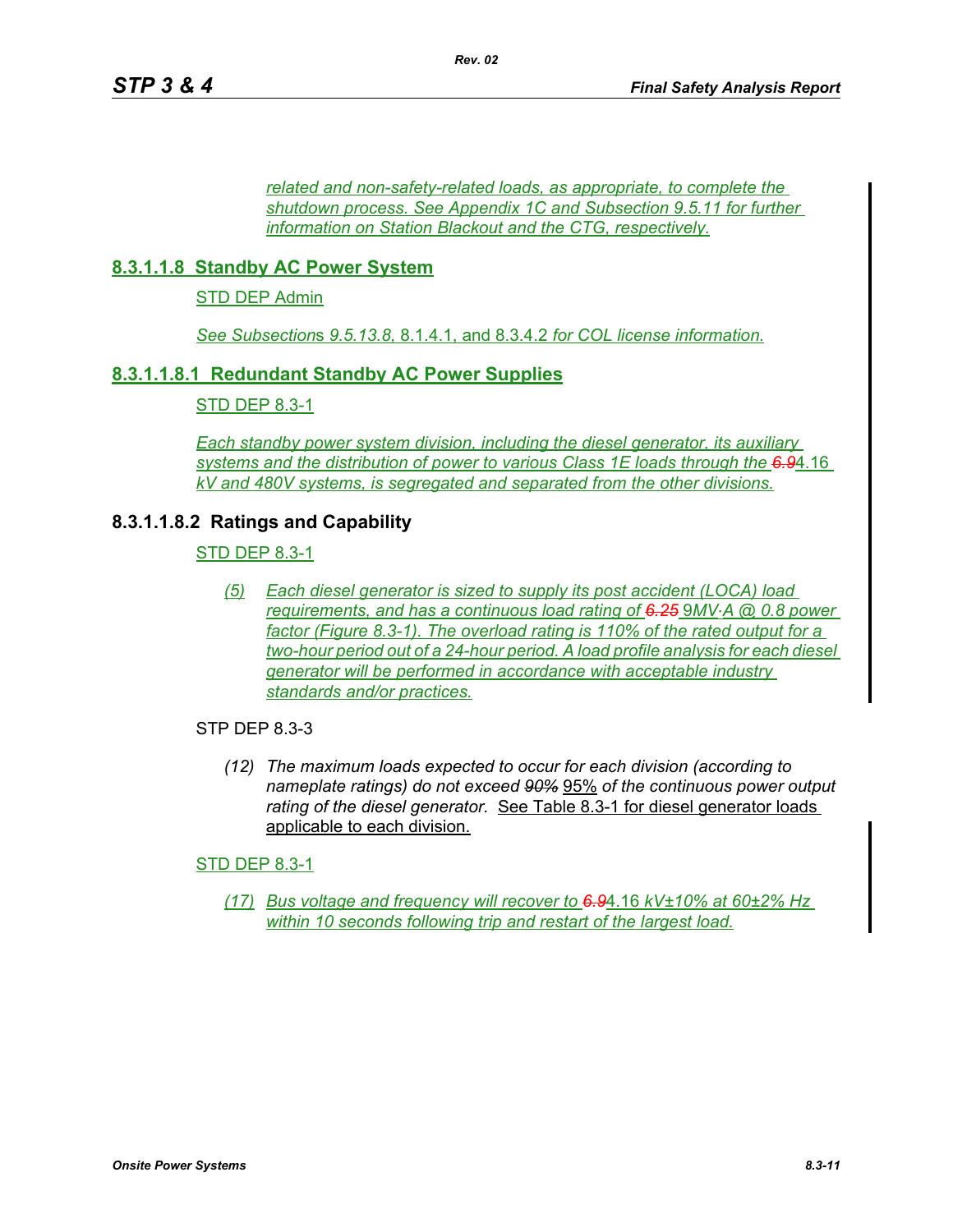*related and non-safety-related loads, as appropriate, to complete the shutdown process. See Appendix 1C and Subsection 9.5.11 for further information on Station Blackout and the CTG, respectively.*

## **8.3.1.1.8 Standby AC Power System**

STD DEP Admin

*See Subsection*s *9.5.13.8,* 8.1.4.1, and 8.3.4.2 *for COL license information.*

## **8.3.1.1.8.1 Redundant Standby AC Power Supplies**

STD DEP 8.3-1

*Each standby power system division, including the diesel generator, its auxiliary systems and the distribution of power to various Class 1E loads through the 6.9*4.16 *kV and 480V systems, is segregated and separated from the other divisions.*

## **8.3.1.1.8.2 Ratings and Capability**

## STD DEP 8.3-1

*(5) Each diesel generator is sized to supply its post accident (LOCA) load requirements, and has a continuous load rating of 6.25* 9*MV*⋅*A @ 0.8 power factor (Figure 8.3-1). The overload rating is 110% of the rated output for a two-hour period out of a 24-hour period. A load profile analysis for each diesel generator will be performed in accordance with acceptable industry standards and/or practices.*

STP DEP 8.3-3

*(12) The maximum loads expected to occur for each division (according to nameplate ratings) do not exceed 90%* 95% *of the continuous power output rating of the diesel generator.* See Table 8.3-1 for diesel generator loads applicable to each division.

#### STD DEP 8.3-1

*(17) Bus voltage and frequency will recover to 6.9*4.16 *kV±10% at 60±2% Hz within 10 seconds following trip and restart of the largest load.*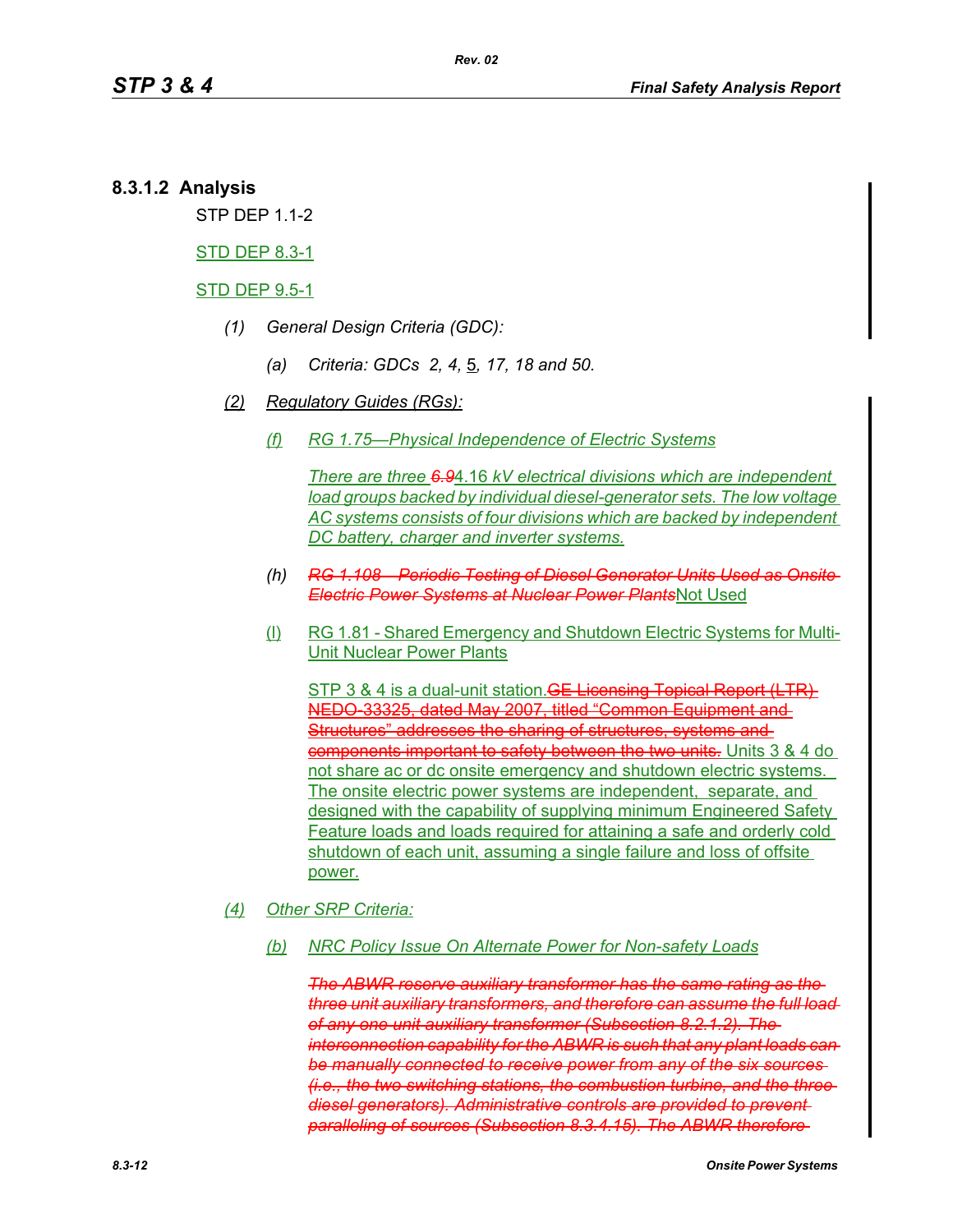#### **8.3.1.2 Analysis**

STP DEP 1.1-2

STD DEP 8.3-1

STD DEP 9.5-1

- *(1) General Design Criteria (GDC):*
	- *(a) Criteria: GDCs 2, 4,* 5*, 17, 18 and 50.*
- *(2) Regulatory Guides (RGs):*
	- *(f) RG 1.75—Physical Independence of Electric Systems*

*There are three 6.9*4.16 *kV electrical divisions which are independent load groups backed by individual diesel-generator sets. The low voltage AC systems consists of four divisions which are backed by independent DC battery, charger and inverter systems.*

- *(h) RG 1.108—Periodic Testing of Diesel Generator Units Used as Onsite Electric Power Systems at Nuclear Power Plants*Not Used
- (l) RG 1.81 Shared Emergency and Shutdown Electric Systems for Multi-Unit Nuclear Power Plants

STP 3 & 4 is a dual-unit station. **GE Licensing Topical Report (LTR)** NEDO-33325, dated May 2007, titled "Common Equipment and Structures" addresses the sharing of structures, systems and **components important to safety between the two units.** Units 3 & 4 do not share ac or dc onsite emergency and shutdown electric systems. The onsite electric power systems are independent, separate, and designed with the capability of supplying minimum Engineered Safety Feature loads and loads required for attaining a safe and orderly cold shutdown of each unit, assuming a single failure and loss of offsite power.

#### *(4) Other SRP Criteria:*

*(b) NRC Policy Issue On Alternate Power for Non-safety Loads*

*The ABWR reserve auxiliary transformer has the same rating as the three unit auxiliary transformers, and therefore can assume the full load of any one unit auxiliary transformer (Subsection 8.2.1.2). The interconnection capability for the ABWR is such that any plant loads can be manually connected to receive power from any of the six sources (i.e., the two switching stations, the combustion turbine, and the three diesel generators). Administrative controls are provided to prevent paralleling of sources (Subsection 8.3.4.15). The ABWR therefore*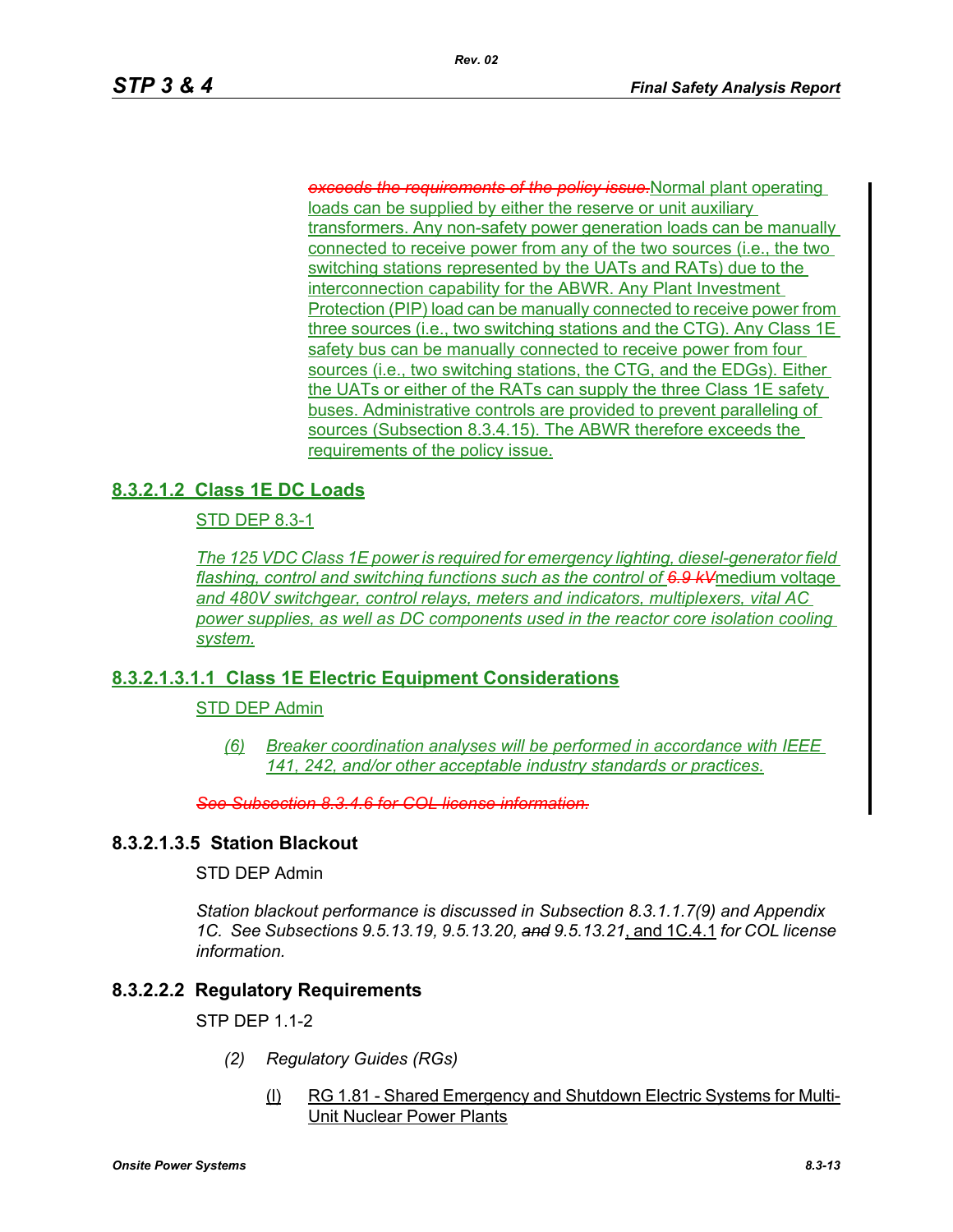*exceeds the requirements of the policy issue.*Normal plant operating loads can be supplied by either the reserve or unit auxiliary transformers. Any non-safety power generation loads can be manually connected to receive power from any of the two sources (i.e., the two switching stations represented by the UATs and RATs) due to the interconnection capability for the ABWR. Any Plant Investment Protection (PIP) load can be manually connected to receive power from three sources (i.e., two switching stations and the CTG). Any Class 1E safety bus can be manually connected to receive power from four sources (i.e., two switching stations, the CTG, and the EDGs). Either the UATs or either of the RATs can supply the three Class 1E safety buses. Administrative controls are provided to prevent paralleling of sources (Subsection 8.3.4.15). The ABWR therefore exceeds the requirements of the policy issue.

# **8.3.2.1.2 Class 1E DC Loads**

## STD DEP 8.3-1

*The 125 VDC Class 1E power is required for emergency lighting, diesel-generator field flashing, control and switching functions such as the control of 6.9 kV*medium voltage *and 480V switchgear, control relays, meters and indicators, multiplexers, vital AC power supplies, as well as DC components used in the reactor core isolation cooling system.*

#### **8.3.2.1.3.1.1 Class 1E Electric Equipment Considerations**

#### STD DEP Admin

*(6) Breaker coordination analyses will be performed in accordance with IEEE 141, 242, and/or other acceptable industry standards or practices.*

*See Subsection 8.3.4.6 for COL license information.*

#### **8.3.2.1.3.5 Station Blackout**

#### STD DEP Admin

*Station blackout performance is discussed in Subsection 8.3.1.1.7(9) and Appendix 1C. See Subsections 9.5.13.19, 9.5.13.20, and 9.5.13.21*, and 1C.4.1 *for COL license information.*

## **8.3.2.2.2 Regulatory Requirements**

STP DEP 1.1-2

- *(2) Regulatory Guides (RGs)*
	- (l) RG 1.81 Shared Emergency and Shutdown Electric Systems for Multi-Unit Nuclear Power Plants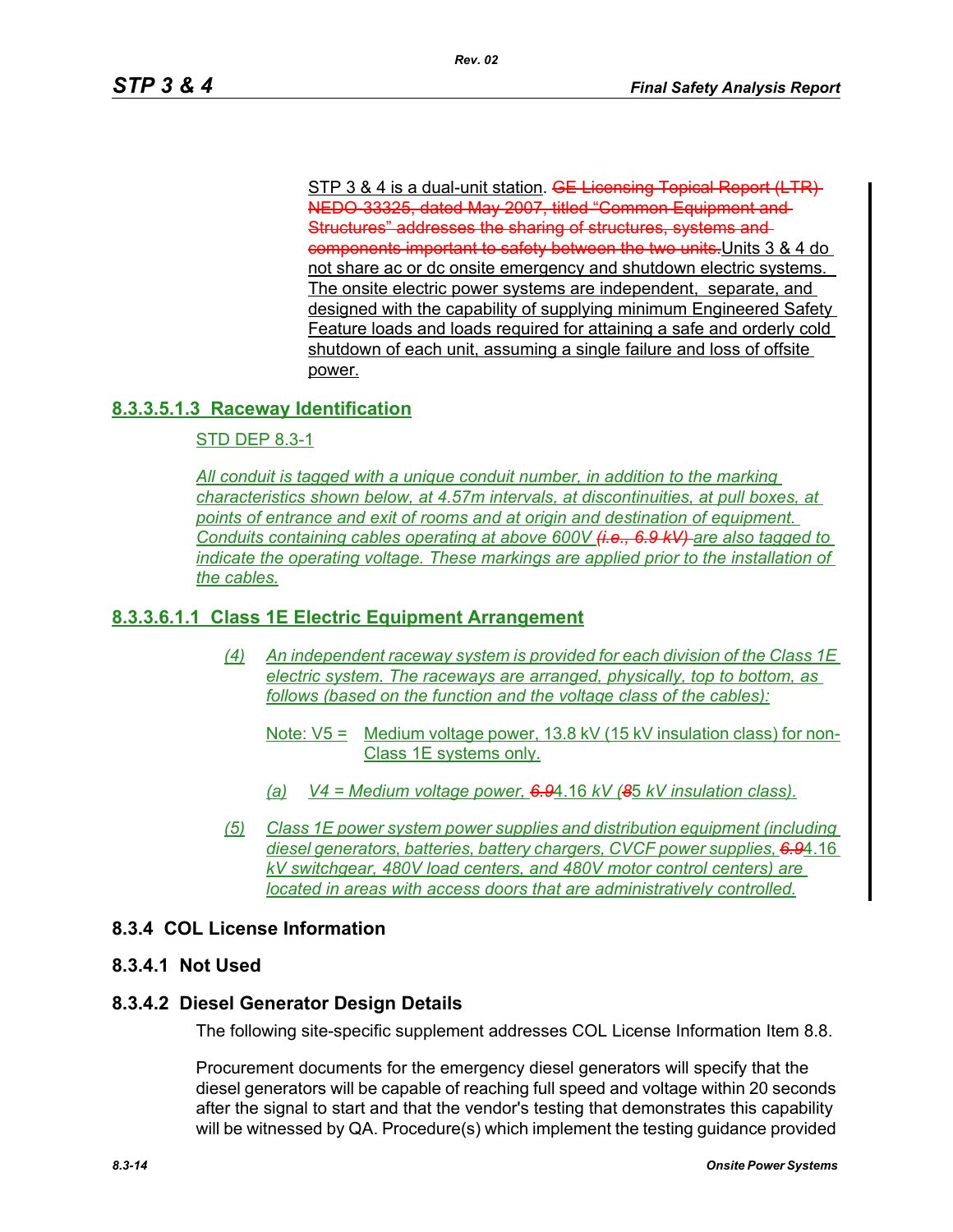STP 3 & 4 is a dual-unit station. GE Licensing Topical Report (LTR) NEDO-33325, dated May 2007, titled "Common Equipment and Structures" addresses the sharing of structures, systems and components important to safety between the two units.Units 3 & 4 do not share ac or dc onsite emergency and shutdown electric systems. The onsite electric power systems are independent, separate, and designed with the capability of supplying minimum Engineered Safety Feature loads and loads required for attaining a safe and orderly cold shutdown of each unit, assuming a single failure and loss of offsite power.

## **8.3.3.5.1.3 Raceway Identification**

#### STD DEP 8.3-1

*All conduit is tagged with a unique conduit number, in addition to the marking characteristics shown below, at 4.57m intervals, at discontinuities, at pull boxes, at points of entrance and exit of rooms and at origin and destination of equipment. Conduits containing cables operating at above 600V (i.e., 6.9 kV) are also tagged to indicate the operating voltage. These markings are applied prior to the installation of the cables.*

*Rev. 02*

#### **8.3.3.6.1.1 Class 1E Electric Equipment Arrangement**

- *(4) An independent raceway system is provided for each division of the Class 1E electric system. The raceways are arranged, physically, top to bottom, as follows (based on the function and the voltage class of the cables):*
	- Note:  $V5 =$  Medium voltage power, 13.8 kV (15 kV insulation class) for non-Class 1E systems only.
	- *(a) V4 = Medium voltage power, 6.9*4.16 *kV (8*5 *kV insulation class).*
- *(5) Class 1E power system power supplies and distribution equipment (including diesel generators, batteries, battery chargers, CVCF power supplies, 6.9*4.16 *kV switchgear, 480V load centers, and 480V motor control centers) are located in areas with access doors that are administratively controlled.*

#### **8.3.4 COL License Information**

#### **8.3.4.1 Not Used**

#### **8.3.4.2 Diesel Generator Design Details**

The following site-specific supplement addresses COL License Information Item 8.8.

Procurement documents for the emergency diesel generators will specify that the diesel generators will be capable of reaching full speed and voltage within 20 seconds after the signal to start and that the vendor's testing that demonstrates this capability will be witnessed by QA. Procedure(s) which implement the testing guidance provided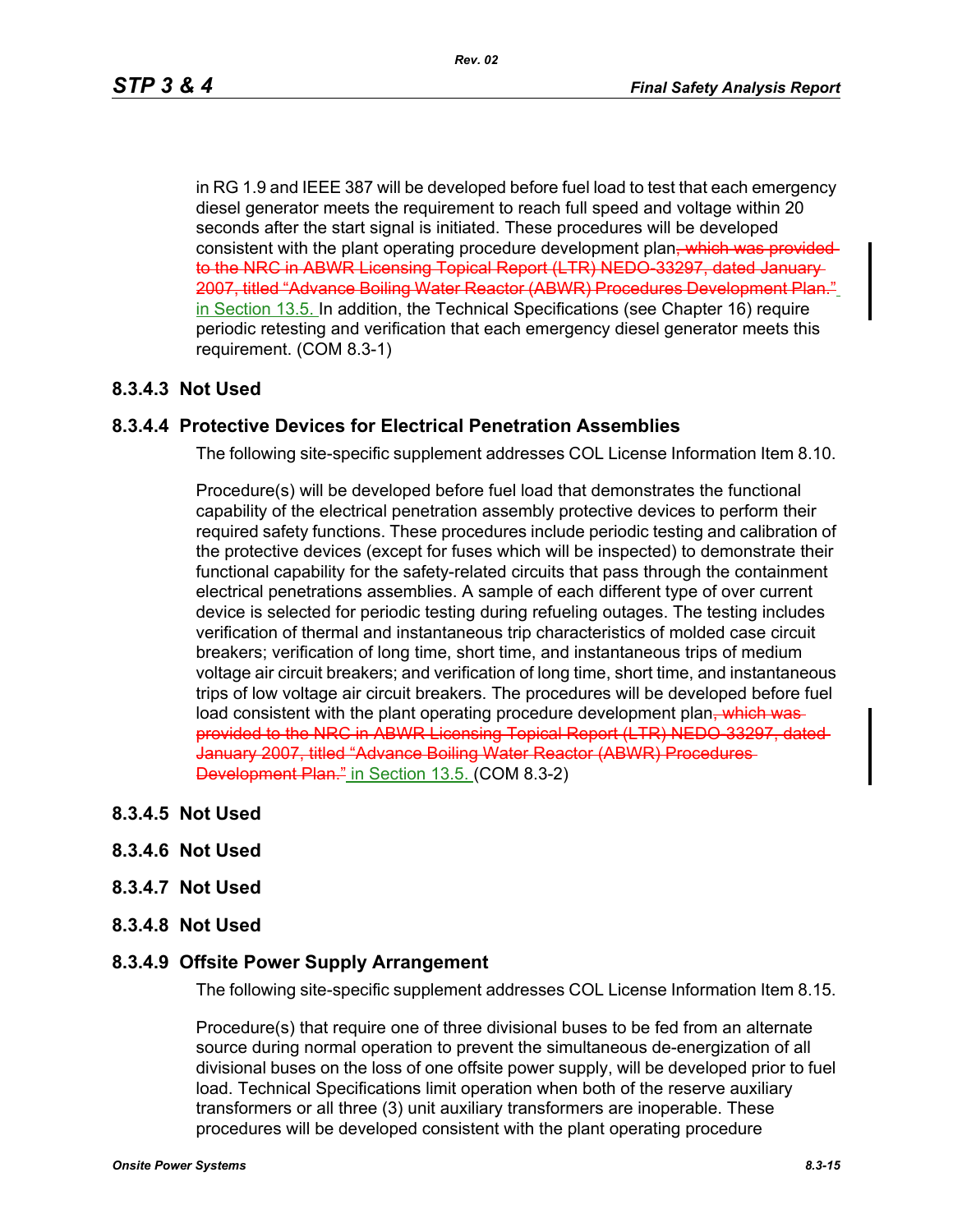in RG 1.9 and IEEE 387 will be developed before fuel load to test that each emergency diesel generator meets the requirement to reach full speed and voltage within 20 seconds after the start signal is initiated. These procedures will be developed consistent with the plant operating procedure development plan, which was providedto the NRC in ABWR Licensing Topical Report (LTR) NEDO-33297, dated January 2007, titled "Advance Boiling Water Reactor (ABWR) Procedures Development Plan." in Section 13.5. In addition, the Technical Specifications (see Chapter 16) require periodic retesting and verification that each emergency diesel generator meets this requirement. (COM 8.3-1)

## **8.3.4.3 Not Used**

#### **8.3.4.4 Protective Devices for Electrical Penetration Assemblies**

The following site-specific supplement addresses COL License Information Item 8.10.

Procedure(s) will be developed before fuel load that demonstrates the functional capability of the electrical penetration assembly protective devices to perform their required safety functions. These procedures include periodic testing and calibration of the protective devices (except for fuses which will be inspected) to demonstrate their functional capability for the safety-related circuits that pass through the containment electrical penetrations assemblies. A sample of each different type of over current device is selected for periodic testing during refueling outages. The testing includes verification of thermal and instantaneous trip characteristics of molded case circuit breakers; verification of long time, short time, and instantaneous trips of medium voltage air circuit breakers; and verification of long time, short time, and instantaneous trips of low voltage air circuit breakers. The procedures will be developed before fuel load consistent with the plant operating procedure development plan<del>, which was</del> provided to the NRC in ABWR Licensing Topical Report (LTR) NEDO-33297, dated January 2007, titled "Advance Boiling Water Reactor (ABWR) Procedures Development Plan." in Section 13.5. (COM 8.3-2)

- **8.3.4.5 Not Used**
- **8.3.4.6 Not Used**
- **8.3.4.7 Not Used**
- **8.3.4.8 Not Used**

#### **8.3.4.9 Offsite Power Supply Arrangement**

The following site-specific supplement addresses COL License Information Item 8.15.

Procedure(s) that require one of three divisional buses to be fed from an alternate source during normal operation to prevent the simultaneous de-energization of all divisional buses on the loss of one offsite power supply, will be developed prior to fuel load. Technical Specifications limit operation when both of the reserve auxiliary transformers or all three (3) unit auxiliary transformers are inoperable. These procedures will be developed consistent with the plant operating procedure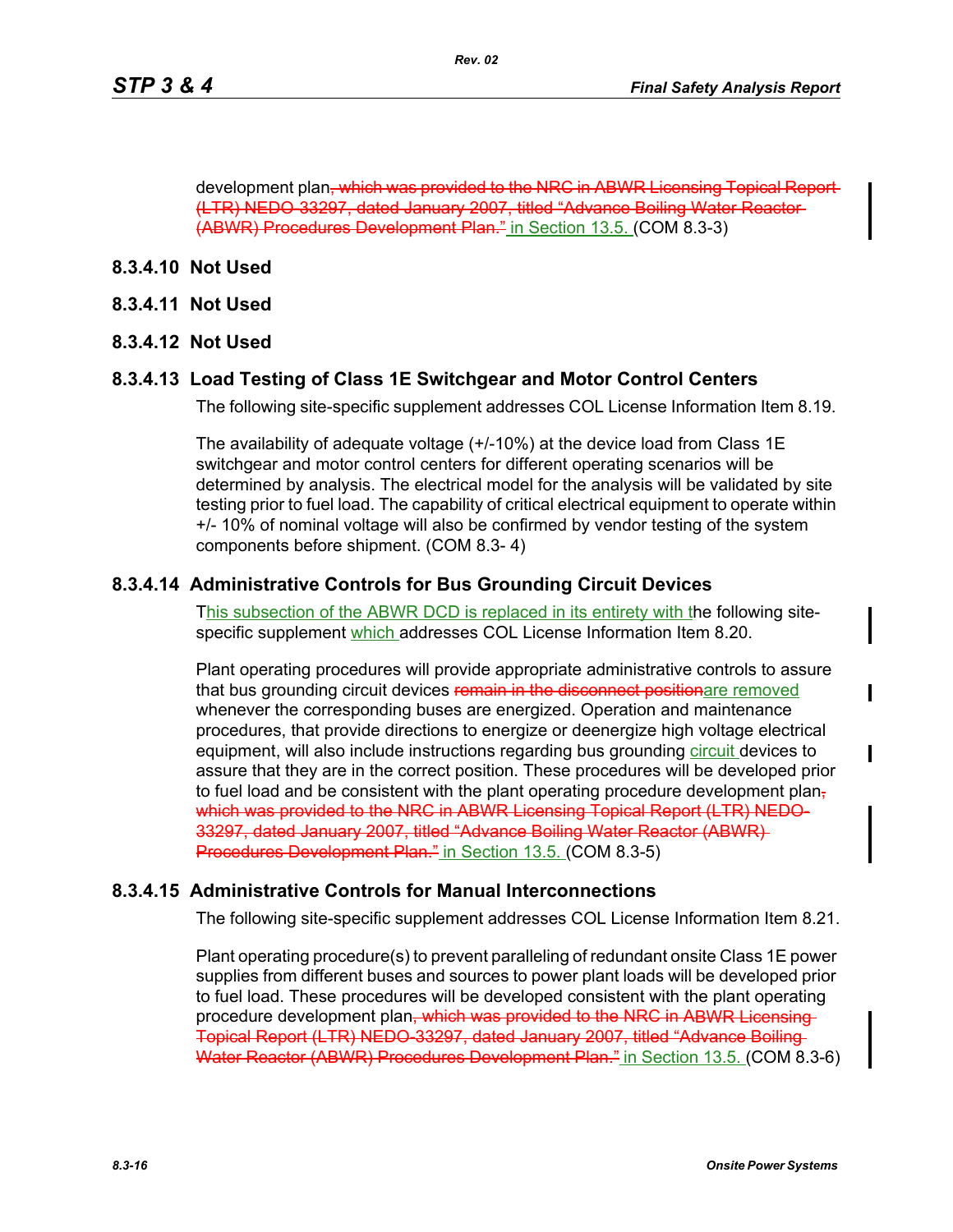development plan, which was provided to the NRC in ABWR Licensing Topical Report (LTR) NEDO-33297, dated January 2007, titled "Advance Boiling Water Reactor (ABWR) Procedures Development Plan." in Section 13.5. (COM 8.3-3)

#### **8.3.4.10 Not Used**

- **8.3.4.11 Not Used**
- **8.3.4.12 Not Used**

## **8.3.4.13 Load Testing of Class 1E Switchgear and Motor Control Centers**

The following site-specific supplement addresses COL License Information Item 8.19.

The availability of adequate voltage (+/-10%) at the device load from Class 1E switchgear and motor control centers for different operating scenarios will be determined by analysis. The electrical model for the analysis will be validated by site testing prior to fuel load. The capability of critical electrical equipment to operate within +/- 10% of nominal voltage will also be confirmed by vendor testing of the system components before shipment. (COM 8.3- 4)

#### **8.3.4.14 Administrative Controls for Bus Grounding Circuit Devices**

This subsection of the ABWR DCD is replaced in its entirety with the following sitespecific supplement which addresses COL License Information Item 8.20.

Plant operating procedures will provide appropriate administrative controls to assure that bus grounding circuit devices remain in the disconnect positionare removed whenever the corresponding buses are energized. Operation and maintenance procedures, that provide directions to energize or deenergize high voltage electrical equipment, will also include instructions regarding bus grounding circuit devices to assure that they are in the correct position. These procedures will be developed prior to fuel load and be consistent with the plant operating procedure development planwhich was provided to the NRC in ABWR Licensing Topical Report (LTR) NEDO-33297, dated January 2007, titled "Advance Boiling Water Reactor (ABWR) **Procedures Development Plan."** in Section 13.5. (COM 8.3-5)

## **8.3.4.15 Administrative Controls for Manual Interconnections**

The following site-specific supplement addresses COL License Information Item 8.21.

Plant operating procedure(s) to prevent paralleling of redundant onsite Class 1E power supplies from different buses and sources to power plant loads will be developed prior to fuel load. These procedures will be developed consistent with the plant operating procedure development plan<del>, which was provided to the NRC in ABWR Licensing</del> Topical Report (LTR) NEDO-33297, dated January 2007, titled "Advance Boiling Water Reactor (ABWR) Procedures Development Plan." in Section 13.5. (COM 8.3-6)  $\mathbf I$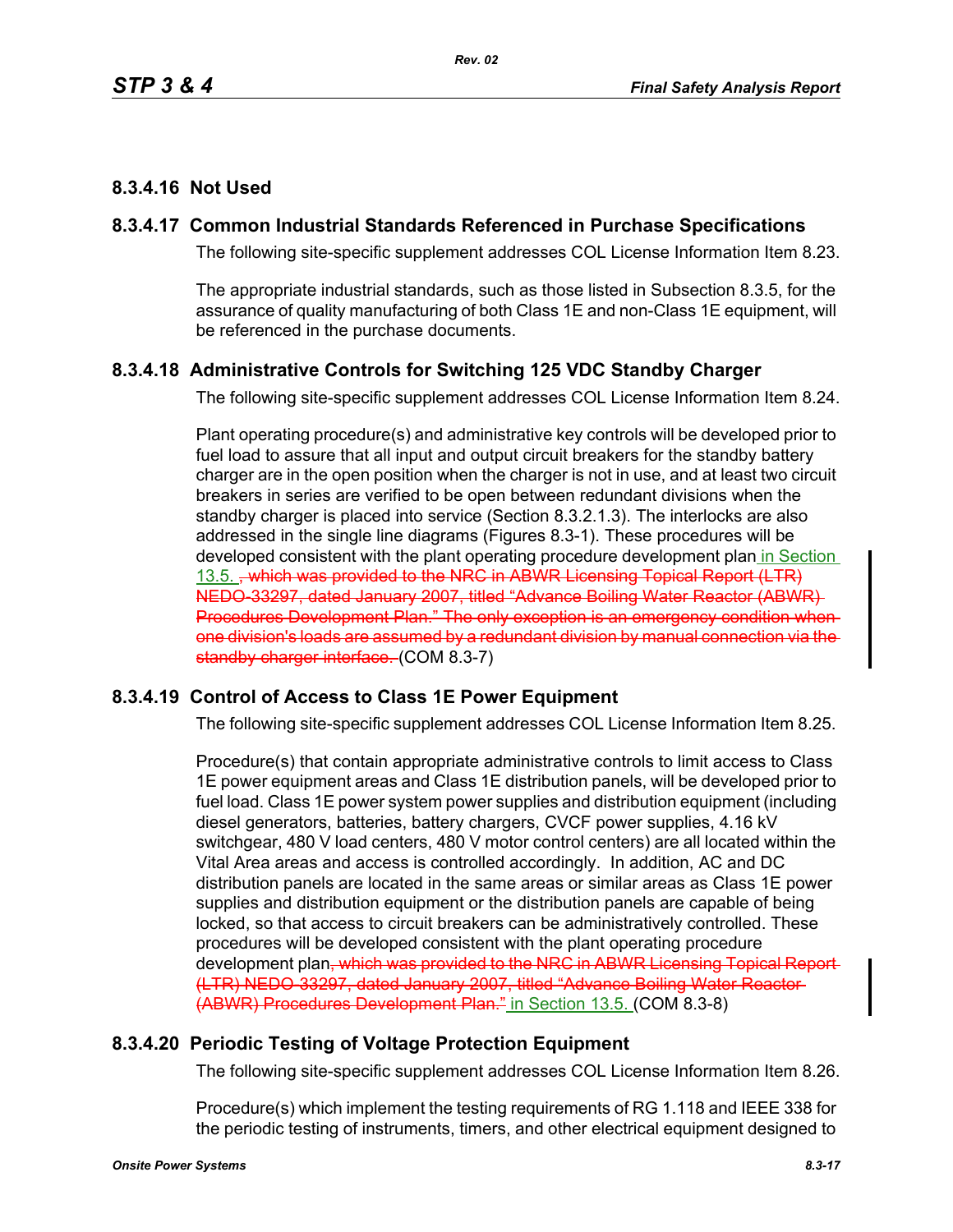## **8.3.4.16 Not Used**

## **8.3.4.17 Common Industrial Standards Referenced in Purchase Specifications**

The following site-specific supplement addresses COL License Information Item 8.23.

The appropriate industrial standards, such as those listed in Subsection 8.3.5, for the assurance of quality manufacturing of both Class 1E and non-Class 1E equipment, will be referenced in the purchase documents.

## **8.3.4.18 Administrative Controls for Switching 125 VDC Standby Charger**

The following site-specific supplement addresses COL License Information Item 8.24.

Plant operating procedure(s) and administrative key controls will be developed prior to fuel load to assure that all input and output circuit breakers for the standby battery charger are in the open position when the charger is not in use, and at least two circuit breakers in series are verified to be open between redundant divisions when the standby charger is placed into service (Section 8.3.2.1.3). The interlocks are also addressed in the single line diagrams (Figures 8.3-1). These procedures will be developed consistent with the plant operating procedure development plan in Section 13.5. , which was provided to the NRC in ABWR Licensing Topical Report (LTR) NEDO-33297, dated January 2007, titled "Advance Boiling Water Reactor (ABWR) Procedures Development Plan." The only exception is an emergency condition when one division's loads are assumed by a redundant division by manual connection via the standby charger interface. (COM 8.3-7)

## **8.3.4.19 Control of Access to Class 1E Power Equipment**

The following site-specific supplement addresses COL License Information Item 8.25.

Procedure(s) that contain appropriate administrative controls to limit access to Class 1E power equipment areas and Class 1E distribution panels, will be developed prior to fuel load. Class 1E power system power supplies and distribution equipment (including diesel generators, batteries, battery chargers, CVCF power supplies, 4.16 kV switchgear, 480 V load centers, 480 V motor control centers) are all located within the Vital Area areas and access is controlled accordingly. In addition, AC and DC distribution panels are located in the same areas or similar areas as Class 1E power supplies and distribution equipment or the distribution panels are capable of being locked, so that access to circuit breakers can be administratively controlled. These procedures will be developed consistent with the plant operating procedure development plan, which was provided to the NRC in ABWR Licensing Topical Report-(LTR) NEDO-33297, dated January 2007, titled "Advance Boiling Water Reactor (ABWR) Procedures Development Plan." in Section 13.5. (COM 8.3-8)

## **8.3.4.20 Periodic Testing of Voltage Protection Equipment**

The following site-specific supplement addresses COL License Information Item 8.26.

Procedure(s) which implement the testing requirements of RG 1.118 and IEEE 338 for the periodic testing of instruments, timers, and other electrical equipment designed to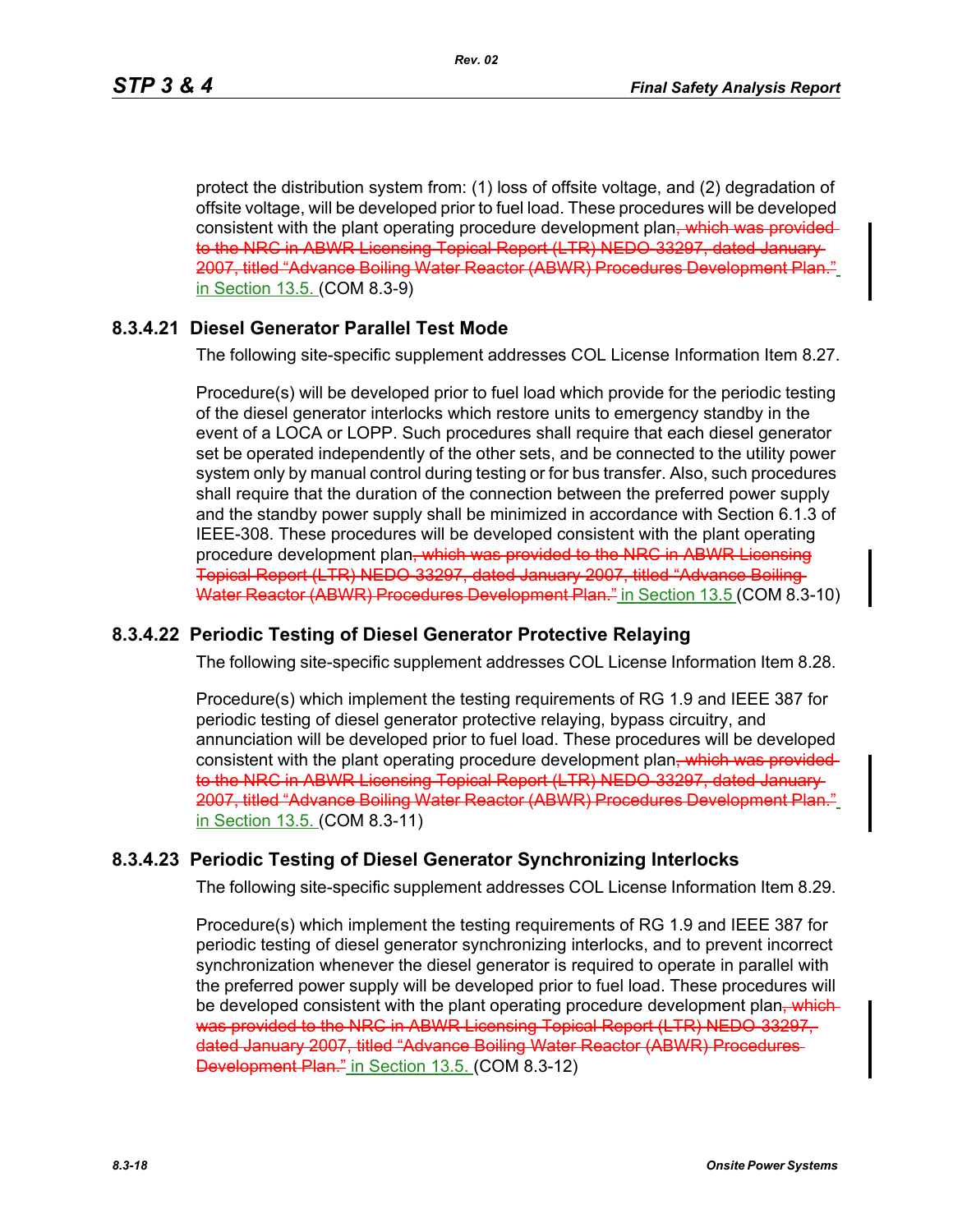protect the distribution system from: (1) loss of offsite voltage, and (2) degradation of offsite voltage, will be developed prior to fuel load. These procedures will be developed consistent with the plant operating procedure development plan, which was providedto the NRC in ABWR Licensing Topical Report (LTR) NEDO-33297, dated January 2007, titled "Advance Boiling Water Reactor (ABWR) Procedures Development Plan in Section 13.5. (COM 8.3-9)

## **8.3.4.21 Diesel Generator Parallel Test Mode**

The following site-specific supplement addresses COL License Information Item 8.27.

Procedure(s) will be developed prior to fuel load which provide for the periodic testing of the diesel generator interlocks which restore units to emergency standby in the event of a LOCA or LOPP. Such procedures shall require that each diesel generator set be operated independently of the other sets, and be connected to the utility power system only by manual control during testing or for bus transfer. Also, such procedures shall require that the duration of the connection between the preferred power supply and the standby power supply shall be minimized in accordance with Section 6.1.3 of IEEE-308. These procedures will be developed consistent with the plant operating procedure development plan<del>, which was provided to the NRC in ABWR Licensing</del> Topical Report (LTR) NEDO-33297, dated January 2007, titled "Advance Boiling Water Reactor (ABWR) Procedures Development Plan." in Section 13.5 (COM 8.3-10)

## **8.3.4.22 Periodic Testing of Diesel Generator Protective Relaying**

The following site-specific supplement addresses COL License Information Item 8.28.

Procedure(s) which implement the testing requirements of RG 1.9 and IEEE 387 for periodic testing of diesel generator protective relaying, bypass circuitry, and annunciation will be developed prior to fuel load. These procedures will be developed consistent with the plant operating procedure development plan, which was provided to the NRC in ABWR Licensing Topical Report (LTR) NEDO-33297, dated January 2007, titled "Advance Boiling Water Reactor (ABWR) Procedures Development Plan." in Section 13.5. (COM 8.3-11)

## **8.3.4.23 Periodic Testing of Diesel Generator Synchronizing Interlocks**

The following site-specific supplement addresses COL License Information Item 8.29.

Procedure(s) which implement the testing requirements of RG 1.9 and IEEE 387 for periodic testing of diesel generator synchronizing interlocks, and to prevent incorrect synchronization whenever the diesel generator is required to operate in parallel with the preferred power supply will be developed prior to fuel load. These procedures will be developed consistent with the plant operating procedure development plan, which was provided to the NRC in ABWR Licensing Topical Report (LTR) NEDO 33297, dated January 2007, titled "Advance Boiling Water Reactor (ABWR) Procedures Development Plan." in Section 13.5. (COM 8.3-12)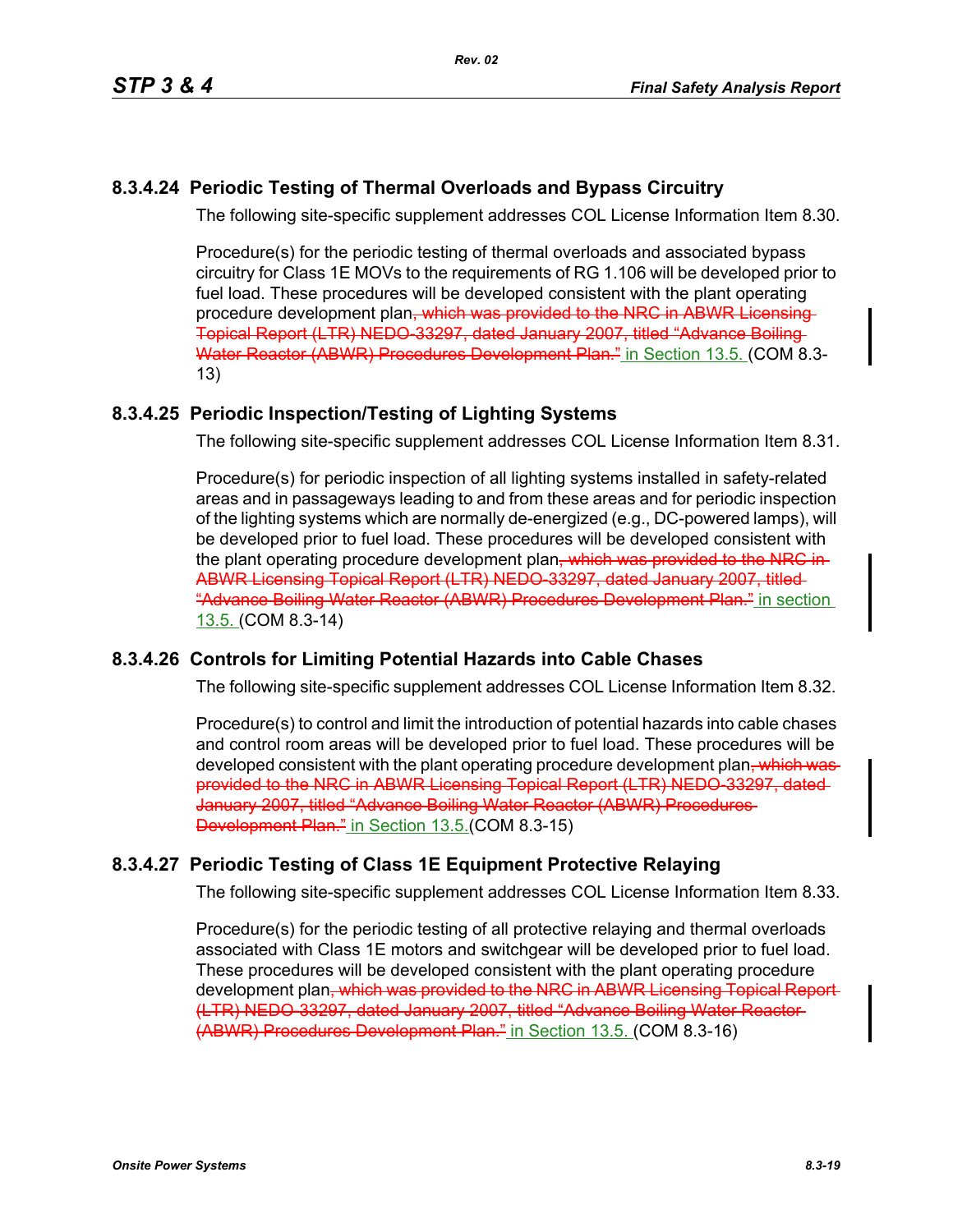# **8.3.4.24 Periodic Testing of Thermal Overloads and Bypass Circuitry**

The following site-specific supplement addresses COL License Information Item 8.30.

Procedure(s) for the periodic testing of thermal overloads and associated bypass circuitry for Class 1E MOVs to the requirements of RG 1.106 will be developed prior to fuel load. These procedures will be developed consistent with the plant operating procedure development plan<del>, which was provided to the NRC in ABWR Licensing</del> Topical Report (LTR) NEDO-33297, dated January 2007, titled "Advance Boiling Water Reactor (ABWR) Procedures Development Plan." in Section 13.5. (COM 8.3- 13)

# **8.3.4.25 Periodic Inspection/Testing of Lighting Systems**

The following site-specific supplement addresses COL License Information Item 8.31.

Procedure(s) for periodic inspection of all lighting systems installed in safety-related areas and in passageways leading to and from these areas and for periodic inspection of the lighting systems which are normally de-energized (e.g., DC-powered lamps), will be developed prior to fuel load. These procedures will be developed consistent with the plant operating procedure development plan, which was provided to the NRC in-ABWR Licensing Topical Report (LTR) NEDO-33297, dated January 2007, titled "Advance Boiling Water Reactor (ABWR) Procedures Development Plan." in section 13.5. (COM 8.3-14)

# **8.3.4.26 Controls for Limiting Potential Hazards into Cable Chases**

The following site-specific supplement addresses COL License Information Item 8.32.

Procedure(s) to control and limit the introduction of potential hazards into cable chases and control room areas will be developed prior to fuel load. These procedures will be developed consistent with the plant operating procedure development plan–which was provided to the NRC in ABWR Licensing Topical Report (LTR) NEDO-33297, dated January 2007, titled "Advance Boiling Water Reactor (ABWR) Procedures **Development Plan."** in Section 13.5. (COM 8.3-15)

# **8.3.4.27 Periodic Testing of Class 1E Equipment Protective Relaying**

The following site-specific supplement addresses COL License Information Item 8.33.

Procedure(s) for the periodic testing of all protective relaying and thermal overloads associated with Class 1E motors and switchgear will be developed prior to fuel load. These procedures will be developed consistent with the plant operating procedure development plan<del>, which was provided to the NRC in ABWR Licensing Topical Report</del> (LTR) NEDO-33297, dated January 2007, titled "Advance Boiling Water Reactor (ABWR) Procedures Development Plan." in Section 13.5. (COM 8.3-16)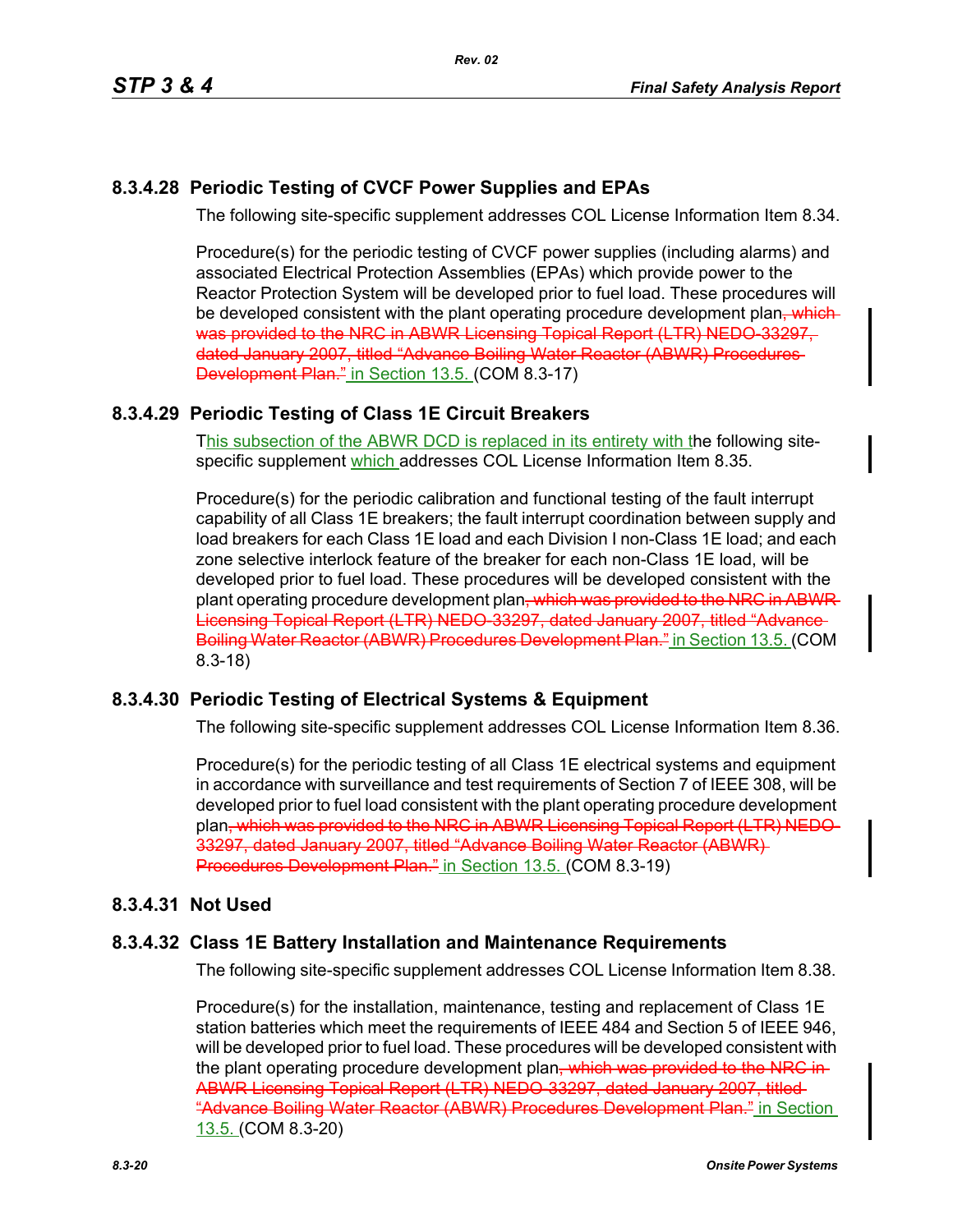# **8.3.4.28 Periodic Testing of CVCF Power Supplies and EPAs**

The following site-specific supplement addresses COL License Information Item 8.34.

Procedure(s) for the periodic testing of CVCF power supplies (including alarms) and associated Electrical Protection Assemblies (EPAs) which provide power to the Reactor Protection System will be developed prior to fuel load. These procedures will be developed consistent with the plant operating procedure development plan, which was provided to the NRC in ABWR Licensing Topical Report (LTR) NEDO 33297, dated January 2007, titled "Advance Boiling Water Reactor (ABWR) Procedures Development Plan." in Section 13.5. (COM 8.3-17)

## **8.3.4.29 Periodic Testing of Class 1E Circuit Breakers**

This subsection of the ABWR DCD is replaced in its entirety with the following sitespecific supplement which addresses COL License Information Item 8.35.

Procedure(s) for the periodic calibration and functional testing of the fault interrupt capability of all Class 1E breakers; the fault interrupt coordination between supply and load breakers for each Class 1E load and each Division I non-Class 1E load; and each zone selective interlock feature of the breaker for each non-Class 1E load, will be developed prior to fuel load. These procedures will be developed consistent with the plant operating procedure development plan<del>, which was provided to the NRC in ABWR</del> Licensing Topical Report (LTR) NEDO-33297, dated January 2007, titled "Advance Boiling Water Reactor (ABWR) Procedures Development Plan." in Section 13.5. (COM 8.3-18)

## **8.3.4.30 Periodic Testing of Electrical Systems & Equipment**

The following site-specific supplement addresses COL License Information Item 8.36.

Procedure(s) for the periodic testing of all Class 1E electrical systems and equipment in accordance with surveillance and test requirements of Section 7 of IEEE 308, will be developed prior to fuel load consistent with the plant operating procedure development plan, which was provided to the NRC in ABWR Licensing Topical Report (LTR) NEDO-33297, dated January 2007, titled "Advance Boiling Water Reactor (ABWR) Procedures Development Plan." in Section 13.5. (COM 8.3-19)

## **8.3.4.31 Not Used**

## **8.3.4.32 Class 1E Battery Installation and Maintenance Requirements**

The following site-specific supplement addresses COL License Information Item 8.38.

Procedure(s) for the installation, maintenance, testing and replacement of Class 1E station batteries which meet the requirements of IEEE 484 and Section 5 of IEEE 946, will be developed prior to fuel load. These procedures will be developed consistent with the plant operating procedure development plan, which was provided to the NRC in-ABWR Licensing Topical Report (LTR) NEDO-33297, dated January 2007, titled "Advance Boiling Water Reactor (ABWR) Procedures Development Plan." in Section 13.5. (COM 8.3-20)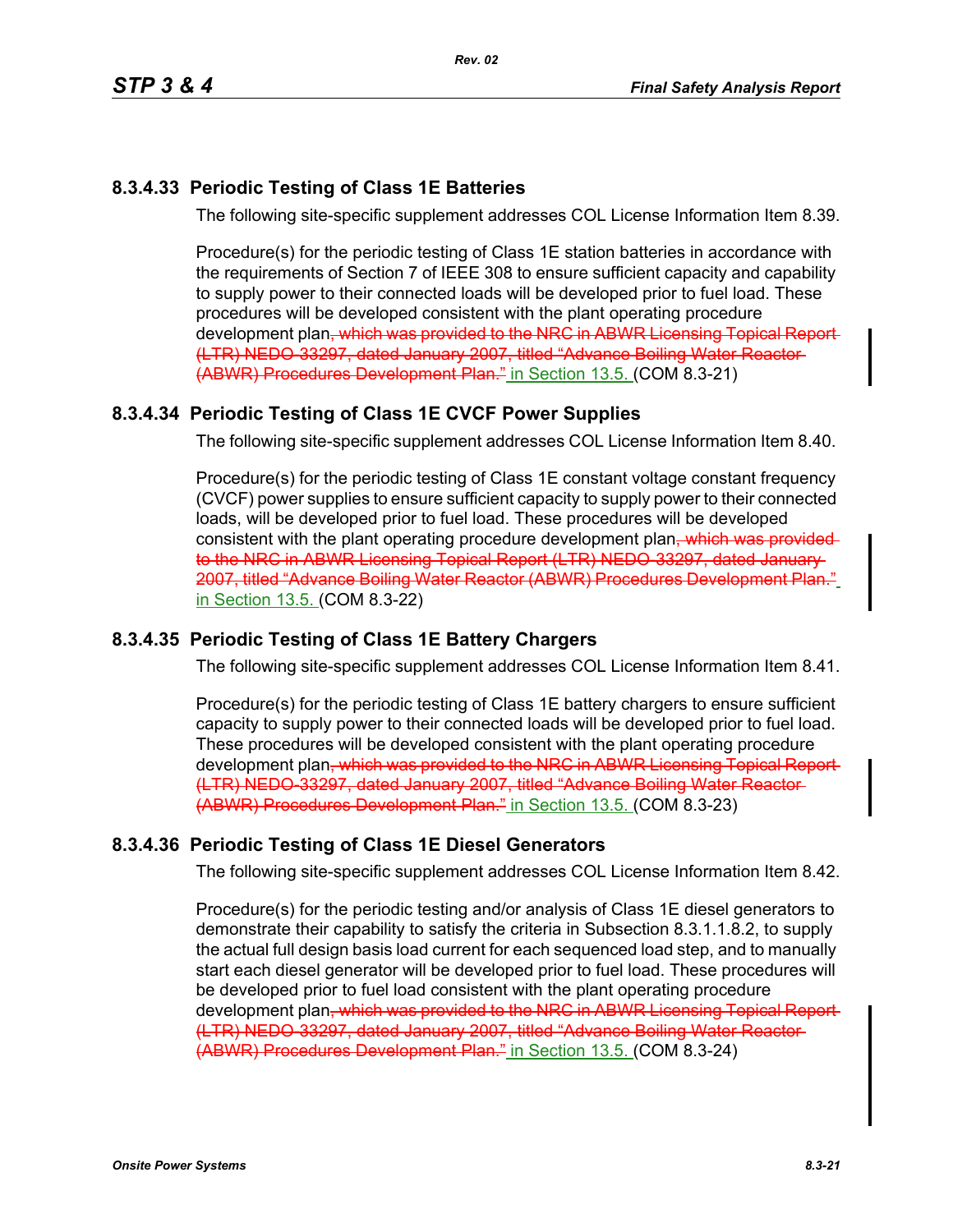# **8.3.4.33 Periodic Testing of Class 1E Batteries**

The following site-specific supplement addresses COL License Information Item 8.39.

Procedure(s) for the periodic testing of Class 1E station batteries in accordance with the requirements of Section 7 of IEEE 308 to ensure sufficient capacity and capability to supply power to their connected loads will be developed prior to fuel load. These procedures will be developed consistent with the plant operating procedure development plan, which was provided to the NRC in ABWR Licensing Topical Report (LTR) NEDO-33297, dated January 2007, titled "Advance Boiling Water Reactor (ABWR) Procedures Development Plan." in Section 13.5. (COM 8.3-21)

## **8.3.4.34 Periodic Testing of Class 1E CVCF Power Supplies**

The following site-specific supplement addresses COL License Information Item 8.40.

Procedure(s) for the periodic testing of Class 1E constant voltage constant frequency (CVCF) power supplies to ensure sufficient capacity to supply power to their connected loads, will be developed prior to fuel load. These procedures will be developed consistent with the plant operating procedure development plan, which was providedto the NRC in ABWR Licensing Topical Report (LTR) NEDO-33297, dated January 2007, titled "Advance Boiling Water Reactor (ABWR) Procedures Development Plan." in Section 13.5. (COM 8.3-22)

## **8.3.4.35 Periodic Testing of Class 1E Battery Chargers**

The following site-specific supplement addresses COL License Information Item 8.41.

Procedure(s) for the periodic testing of Class 1E battery chargers to ensure sufficient capacity to supply power to their connected loads will be developed prior to fuel load. These procedures will be developed consistent with the plant operating procedure development plan, which was provided to the NRC in ABWR Licensing Topical Report (LTR) NEDO-33297, dated January 2007, titled "Advance Boiling Water Reactor (ABWR) Procedures Development Plan." in Section 13.5. (COM 8.3-23)

## **8.3.4.36 Periodic Testing of Class 1E Diesel Generators**

The following site-specific supplement addresses COL License Information Item 8.42.

Procedure(s) for the periodic testing and/or analysis of Class 1E diesel generators to demonstrate their capability to satisfy the criteria in Subsection 8.3.1.1.8.2, to supply the actual full design basis load current for each sequenced load step, and to manually start each diesel generator will be developed prior to fuel load. These procedures will be developed prior to fuel load consistent with the plant operating procedure development plan<del>, which was provided to the NRC in ABWR Licensing Topical Report</del> (LTR) NEDO-33297, dated January 2007, titled "Advance Boiling Water Reactor (ABWR) Procedures Development Plan." in Section 13.5. (COM 8.3-24)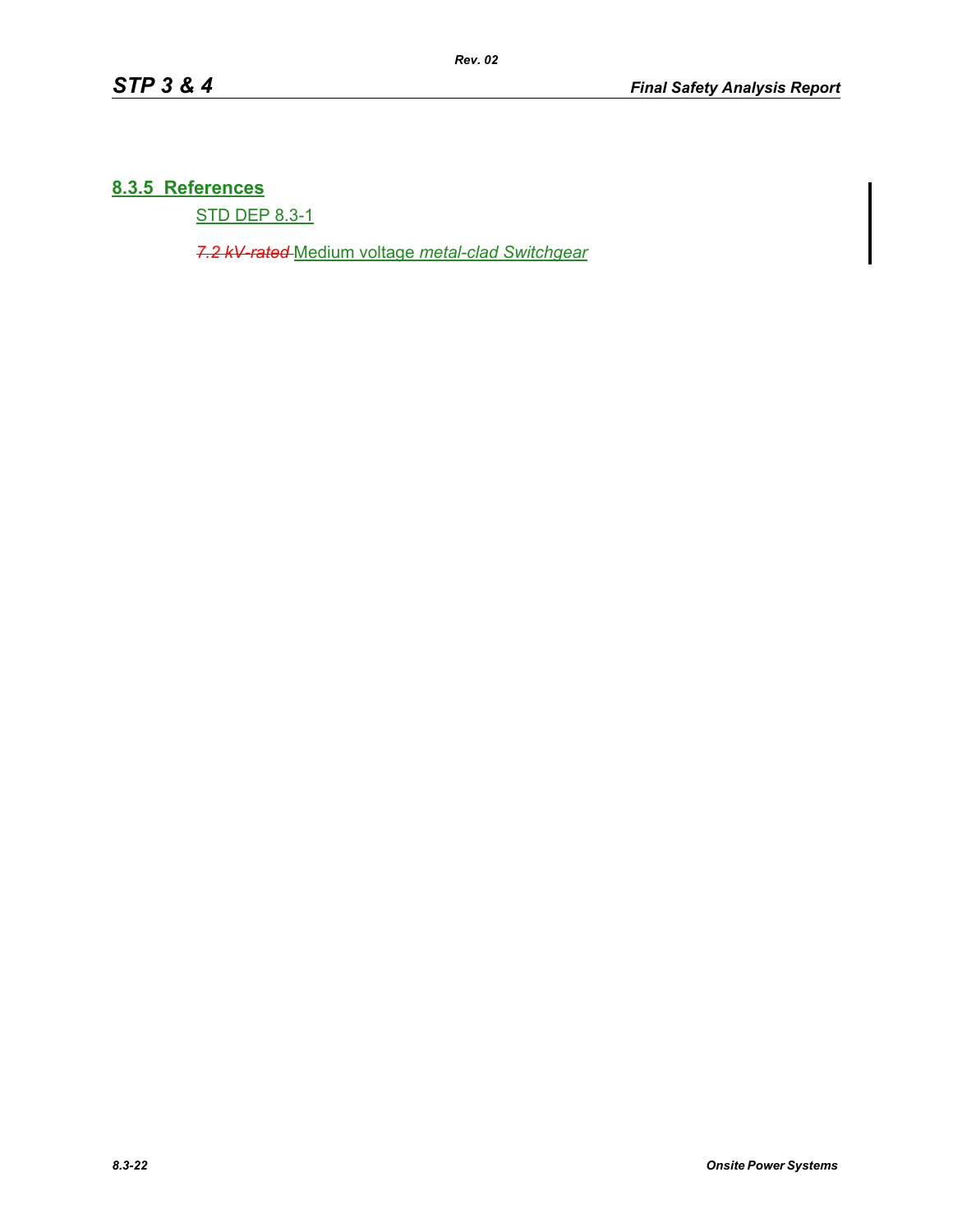# **8.3.5 References**

STD DEP 8.3-1

*7.2 kV-rated* Medium voltage *metal-clad Switchgear*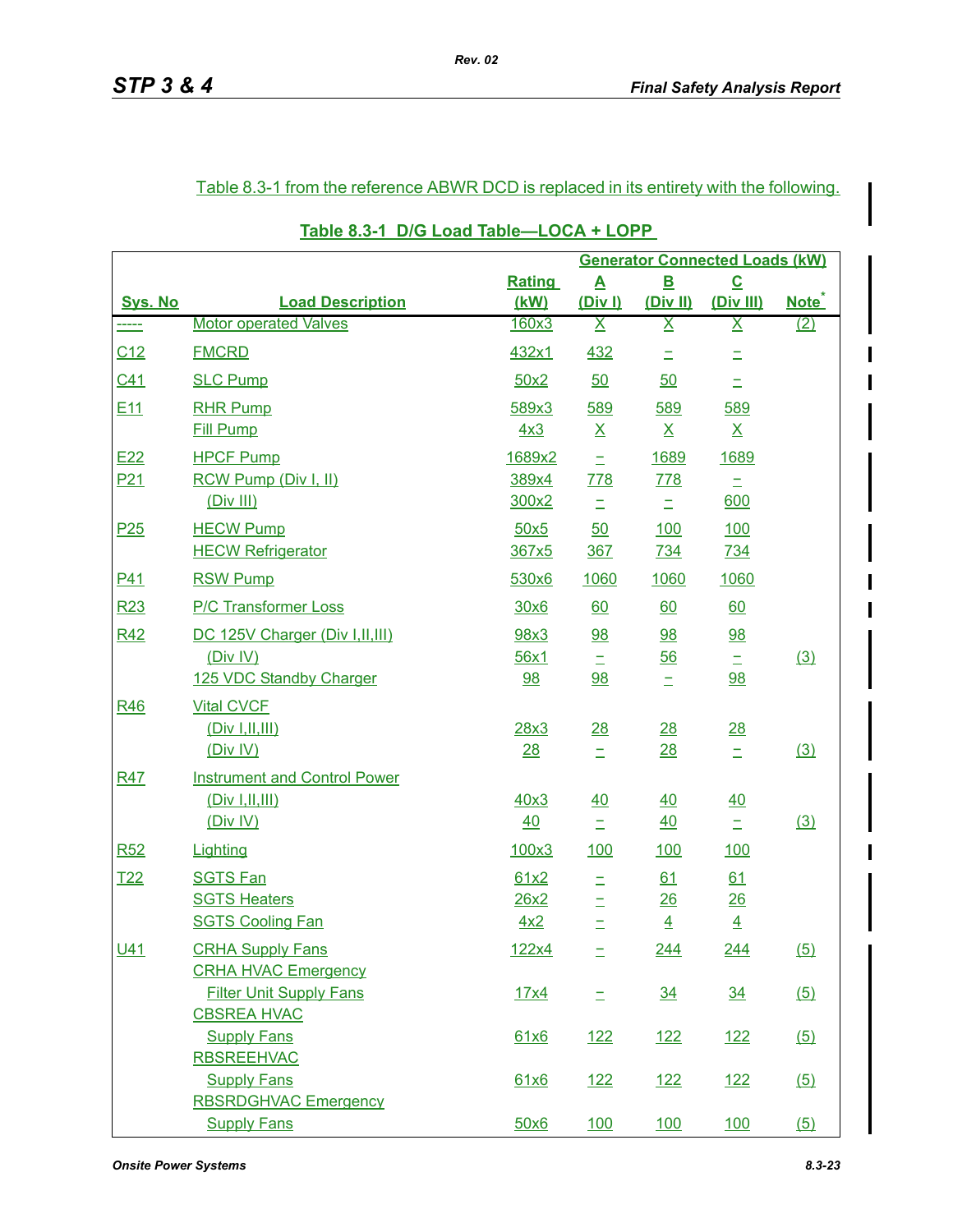## Table 8.3-1 from the reference ABWR DCD is replaced in its entirety with the following.

|                 |                                         | <b>Generator Connected Loads (kW)</b> |                  |                         |                          |             |  |  |
|-----------------|-----------------------------------------|---------------------------------------|------------------|-------------------------|--------------------------|-------------|--|--|
|                 |                                         | Rating                                | $\blacktriangle$ | $\overline{\mathbf{B}}$ | $\underline{\mathbf{C}}$ |             |  |  |
| <b>Sys. No</b>  | <b>Load Description</b>                 | (kW)                                  | (Div I)          | (Div II)                | (Div III)                | <b>Note</b> |  |  |
| $\frac{1}{2}$   | <b>Motor operated Valves</b>            | 160x3                                 | <u>X</u>         | <u>X</u>                | <u>X</u>                 | (2)         |  |  |
| C12             | <b>FMCRD</b>                            | 432x1                                 | <u>432</u>       | Ξ                       | Ξ                        |             |  |  |
| C41             | <b>SLC Pump</b>                         | 50x2                                  | 50               | 50                      | Ξ                        |             |  |  |
| E11             | <b>RHR Pump</b>                         | 589x3                                 | 589              | 589                     | 589                      |             |  |  |
|                 | <b>Fill Pump</b>                        | 4x3                                   | $\underline{X}$  | $\underline{X}$         | $\underline{X}$          |             |  |  |
| E <sub>22</sub> | <b>HPCF Pump</b>                        | 1689x2                                | Ξ                | 1689                    | 1689                     |             |  |  |
| P <sub>21</sub> | RCW Pump (Div I, II)                    | 389x4                                 | <u>778</u>       | <b>778</b>              | $\equiv$                 |             |  |  |
|                 | (Div III)                               | 300x2                                 | $\equiv$         | $\equiv$                | 600                      |             |  |  |
| P <sub>25</sub> | <b>HECW Pump</b>                        | 50x5                                  | 50               | 100                     | <u>100</u>               |             |  |  |
|                 | <b>HECW Refrigerator</b>                | 367x5                                 | 367              | <u>734</u>              | <b>734</b>               |             |  |  |
| P <sub>41</sub> | <b>RSW Pump</b>                         | 530x6                                 | 1060             | 1060                    | 1060                     |             |  |  |
| R <sub>23</sub> | <b>P/C Transformer Loss</b>             | 30x6                                  | 60               | 60                      | 60                       |             |  |  |
| R42             | DC 125V Charger (Div I, II, III)        | 98x3                                  | 98               | 98                      | 98                       |             |  |  |
|                 | (Div IV)                                | 56x1                                  | Ξ                | 56                      | $\equiv$                 | (3)         |  |  |
|                 | 125 VDC Standby Charger                 | 98                                    | 98               | Ξ                       | 98                       |             |  |  |
| R46             | <b>Vital CVCF</b>                       |                                       |                  |                         |                          |             |  |  |
|                 | (Div I, II, III)                        | 28x3                                  | 28               | 28                      | 28                       |             |  |  |
|                 | (Div IV)                                | 28                                    | Ξ                | 28                      | $\equiv$                 | (3)         |  |  |
| <b>R47</b>      | <b>Instrument and Control Power</b>     |                                       |                  |                         |                          |             |  |  |
|                 | (Div I, II, III)                        | 40x3                                  | 40               | 40                      | 40                       |             |  |  |
|                 | (Div IV)                                | 40                                    | $\equiv$         | 40                      | $\equiv$                 | (3)         |  |  |
| R <sub>52</sub> | Lighting                                | 100x3                                 | 100              | <u>100</u>              | <u>100</u>               |             |  |  |
| T <sub>22</sub> | <b>SGTS Fan</b>                         | 61x2                                  |                  | 61                      | 61                       |             |  |  |
|                 | <b>SGTS Heaters</b>                     | 26x2                                  | Ξ                | 26                      | $\frac{26}{5}$           |             |  |  |
|                 | <b>SGTS Cooling Fan</b>                 | 4x2                                   |                  | $\overline{4}$          | $\overline{4}$           |             |  |  |
| <u>U41</u>      | <b>CRHA Supply Fans</b>                 | <u>122x4</u>                          |                  | <u>244</u>              | <u>244</u>               | (5)         |  |  |
|                 | <b>CRHA HVAC Emergency</b>              |                                       |                  |                         |                          |             |  |  |
|                 | <b>Filter Unit Supply Fans</b>          | 17x4                                  | Ξ                | 34                      | $\frac{34}{5}$           | (5)         |  |  |
|                 | <b>CBSREA HVAC</b>                      |                                       |                  |                         |                          |             |  |  |
|                 | <b>Supply Fans</b><br><b>RBSREEHVAC</b> | 61x6                                  | <u>122</u>       | <u> 122</u>             | <u>122</u>               | (5)         |  |  |
|                 | <b>Supply Fans</b>                      | 61x6                                  | <u> 122</u>      | <u> 122</u>             | <u>122</u>               | (5)         |  |  |
|                 | <b>RBSRDGHVAC Emergency</b>             |                                       |                  |                         |                          |             |  |  |
|                 | <b>Supply Fans</b>                      | 50x6                                  | <u>100</u>       | 100                     | 100                      | (5)         |  |  |

## **Table 8.3-1 D/G Load Table—LOCA + LOPP**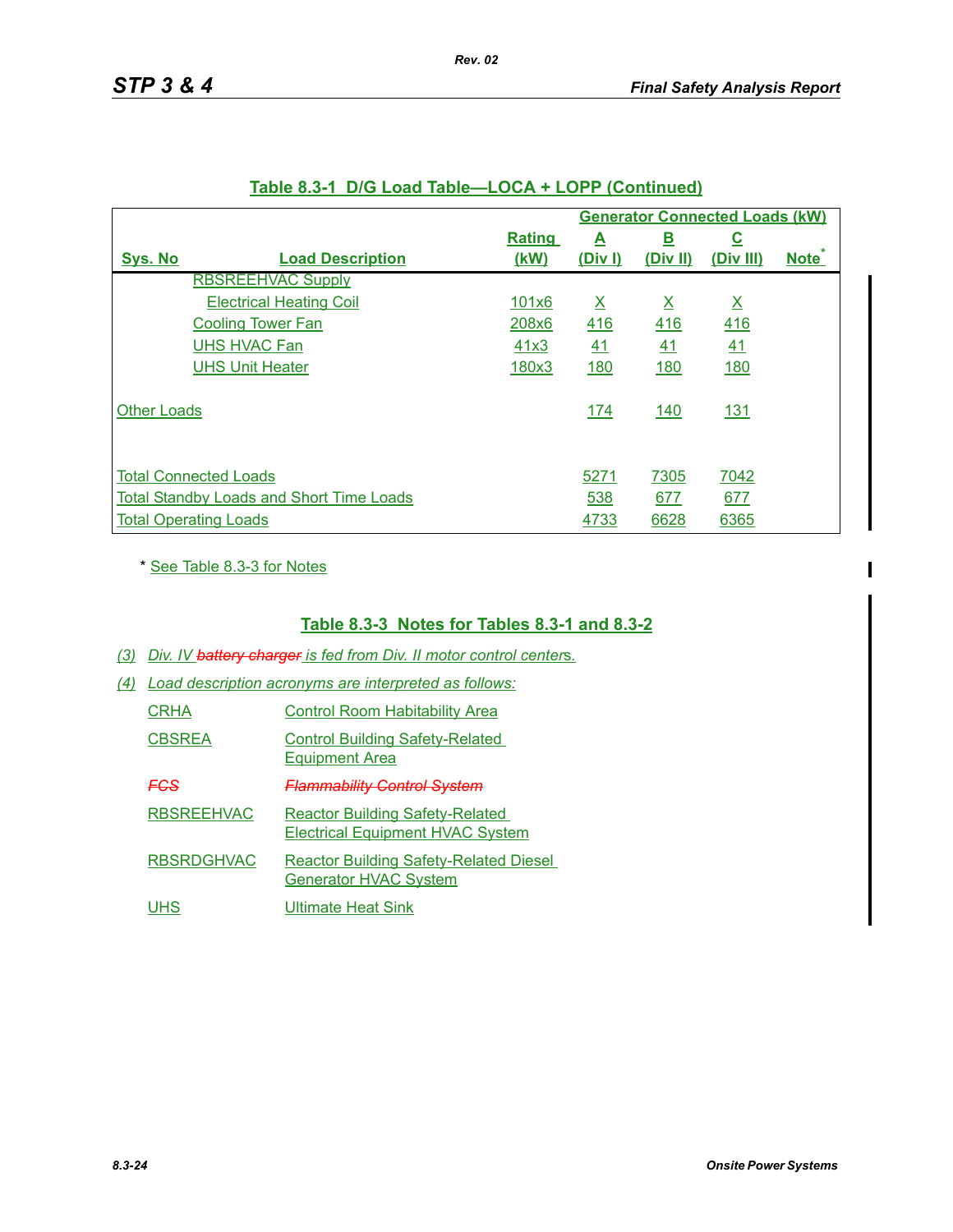|                              |                                                 |               |                 |                         | <b>Generator Connected Loads (kW)</b> |                   |
|------------------------------|-------------------------------------------------|---------------|-----------------|-------------------------|---------------------------------------|-------------------|
|                              |                                                 | <b>Rating</b> | <u>A</u>        | <u>B</u>                | <u>C</u>                              |                   |
| <b>Sys. No</b>               | <b>Load Description</b>                         | (kW)          | <u>(Div I)</u>  | (Div II)                | (Div III)                             | Note <sup>®</sup> |
|                              | <b>RBSREEHVAC Supply</b>                        |               |                 |                         |                                       |                   |
|                              | <b>Electrical Heating Coil</b>                  | 101x6         | $\underline{X}$ | $\overline{\mathsf{X}}$ | $\overline{\mathsf{X}}$               |                   |
|                              | <b>Cooling Tower Fan</b>                        | 208x6         | 416             | 416                     | 416                                   |                   |
| <b>UHS HVAC Fan</b>          |                                                 | 41x3          | 41              | 41                      | 41                                    |                   |
| <b>UHS Unit Heater</b>       |                                                 | 180x3         | <u>180</u>      | 180                     | 180                                   |                   |
| <b>Other Loads</b>           |                                                 |               | 174             | 140                     | 131                                   |                   |
| <b>Total Connected Loads</b> |                                                 |               | 5271            | 7305                    | 7042                                  |                   |
| <b>Total Operating Loads</b> | <b>Total Standby Loads and Short Time Loads</b> |               | 538<br>4733     | 677<br>6628             | 677<br>6365                           |                   |

#### **Table 8.3-1 D/G Load Table—LOCA + LOPP (Continued)**

\* See Table 8.3-3 for Notes

## **Table 8.3-3 Notes for Tables 8.3-1 and 8.3-2**

- *(3) Div. IV battery charger is fed from Div. II motor control center*s*.*
- *(4) Load description acronyms are interpreted as follows:*

| CRHA              | <b>Control Room Habitability Area</b>                                             |
|-------------------|-----------------------------------------------------------------------------------|
| <b>CBSREA</b>     | <b>Control Building Safety-Related</b><br><b>Equipment Area</b>                   |
| FCS               | <b>Flammability Control System</b>                                                |
| <b>RBSREEHVAC</b> | <b>Reactor Building Safety-Related</b><br><b>Electrical Equipment HVAC System</b> |
| <b>RBSRDGHVAC</b> | <b>Reactor Building Safety-Related Diesel</b><br><b>Generator HVAC System</b>     |
| JHS               | Ultimate Heat Sink                                                                |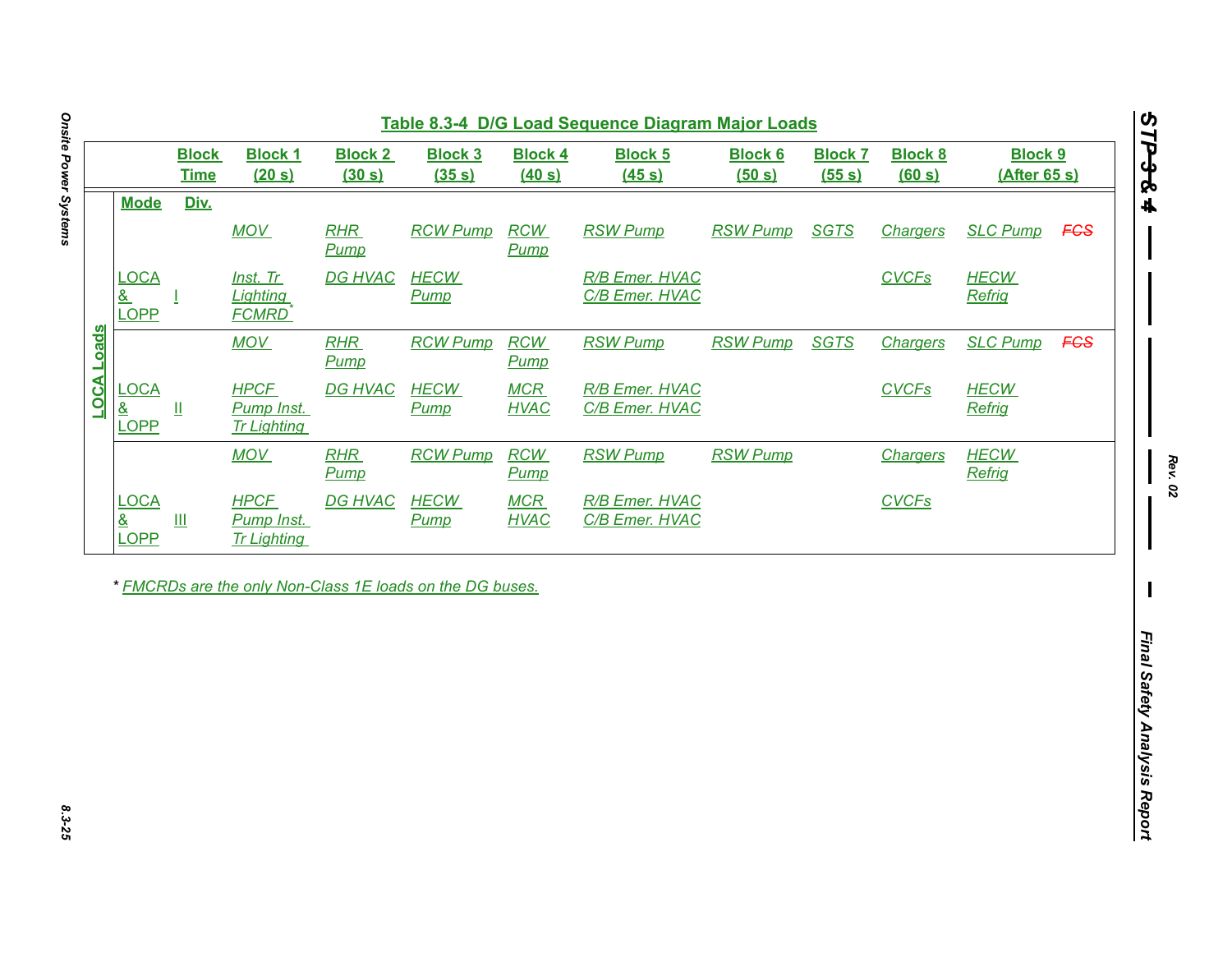| Div.<br><b>Mode</b><br><b>MOV</b><br><b>SLC Pump</b><br>$R$ HR<br><b>RCW Pump</b><br><b>RCW</b><br><b>RSW Pump</b><br><b>RSW Pump</b><br><b>SGTS</b><br><b>Chargers</b><br><b>FGS</b><br>Pump<br>Pump<br><b>LOCA</b><br><b>CVCFs</b><br><b>HECW</b><br>Inst. Tr<br><b>DG HVAC</b><br><b>HECW</b><br>R/B Emer. HVAC<br>8<br>Refrig<br>Lighting<br>C/B Emer. HVAC<br><b>Pump</b><br><b>LOPP</b><br><b>FCMRD</b><br><b>MOV</b><br><b>RCW Pump</b><br><b>RCW</b><br><b>RSW Pump</b><br><b>SGTS</b><br><b>SLC Pump</b><br><b>RHR</b><br><b>RSW Pump</b><br><b>Chargers</b><br><b>Pump</b><br>Pump<br><b>LOCA</b><br><b>HECW</b><br><b>HPCF</b><br><b>HECW</b><br><b>MCR</b><br>R/B Emer. HVAC<br><b>CVCFs</b><br>DG HVAC<br>$\underline{\underline{8}}$<br>Pump Inst.<br>C/B Emer. HVAC<br>Refrig<br>Щ<br><b>HVAC</b><br><u>Pump</u><br><b>LOPP</b><br><b>Tr Lighting</b><br><b>RSW Pump</b><br><b>HECW</b><br><b>MOV</b><br>$R$ HR<br><b>RCW Pump</b><br><b>RCW</b><br><b>RSW Pump</b><br><b>Chargers</b><br>Refrig<br><b>Pump</b><br>Pump<br><b>LOCA</b><br><b>HPCF</b><br><b>HECW</b><br><b>MCR</b><br>R/B Emer. HVAC<br><b>CVCFs</b><br>DG HVAC<br>$\underline{8}$<br>$\mathbf{III}$<br>Pump Inst.<br>C/B Emer. HVAC<br><b>HVAC</b><br><b>Pump</b><br><b>LOPP</b><br><b>Tr Lighting</b> | * FMCRDs are the only Non-Class 1E loads on the DG buses. |                   | <b>Block</b><br><b>Time</b> | <b>Block 1</b><br>(20 s) | <b>Block 2</b><br>(30 s) | <b>Block 3</b><br>(35 s) | <b>Block 4</b><br>(40 s) | <b>Block 5</b><br>(45 s) | <b>Block 6</b><br>(50 s) | <b>Block 7</b><br>(55 s) | <b>Block 8</b><br>(60 s) | <b>Block 9</b><br><b>(After 65 s)</b> |  |
|----------------------------------------------------------------------------------------------------------------------------------------------------------------------------------------------------------------------------------------------------------------------------------------------------------------------------------------------------------------------------------------------------------------------------------------------------------------------------------------------------------------------------------------------------------------------------------------------------------------------------------------------------------------------------------------------------------------------------------------------------------------------------------------------------------------------------------------------------------------------------------------------------------------------------------------------------------------------------------------------------------------------------------------------------------------------------------------------------------------------------------------------------------------------------------------------------------------------------------------------------------------------------------------|-----------------------------------------------------------|-------------------|-----------------------------|--------------------------|--------------------------|--------------------------|--------------------------|--------------------------|--------------------------|--------------------------|--------------------------|---------------------------------------|--|
| <b>FCS</b>                                                                                                                                                                                                                                                                                                                                                                                                                                                                                                                                                                                                                                                                                                                                                                                                                                                                                                                                                                                                                                                                                                                                                                                                                                                                             |                                                           |                   |                             |                          |                          |                          |                          |                          |                          |                          |                          |                                       |  |
|                                                                                                                                                                                                                                                                                                                                                                                                                                                                                                                                                                                                                                                                                                                                                                                                                                                                                                                                                                                                                                                                                                                                                                                                                                                                                        |                                                           |                   |                             |                          |                          |                          |                          |                          |                          |                          |                          |                                       |  |
|                                                                                                                                                                                                                                                                                                                                                                                                                                                                                                                                                                                                                                                                                                                                                                                                                                                                                                                                                                                                                                                                                                                                                                                                                                                                                        |                                                           |                   |                             |                          |                          |                          |                          |                          |                          |                          |                          |                                       |  |
|                                                                                                                                                                                                                                                                                                                                                                                                                                                                                                                                                                                                                                                                                                                                                                                                                                                                                                                                                                                                                                                                                                                                                                                                                                                                                        |                                                           | <b>LOCA Loads</b> |                             |                          |                          |                          |                          |                          |                          |                          |                          |                                       |  |
|                                                                                                                                                                                                                                                                                                                                                                                                                                                                                                                                                                                                                                                                                                                                                                                                                                                                                                                                                                                                                                                                                                                                                                                                                                                                                        |                                                           |                   |                             |                          |                          |                          |                          |                          |                          |                          |                          |                                       |  |
|                                                                                                                                                                                                                                                                                                                                                                                                                                                                                                                                                                                                                                                                                                                                                                                                                                                                                                                                                                                                                                                                                                                                                                                                                                                                                        |                                                           |                   |                             |                          |                          |                          |                          |                          |                          |                          |                          |                                       |  |
|                                                                                                                                                                                                                                                                                                                                                                                                                                                                                                                                                                                                                                                                                                                                                                                                                                                                                                                                                                                                                                                                                                                                                                                                                                                                                        |                                                           |                   |                             |                          |                          |                          |                          |                          |                          |                          |                          |                                       |  |
|                                                                                                                                                                                                                                                                                                                                                                                                                                                                                                                                                                                                                                                                                                                                                                                                                                                                                                                                                                                                                                                                                                                                                                                                                                                                                        |                                                           |                   |                             |                          |                          |                          |                          |                          |                          |                          |                          |                                       |  |
|                                                                                                                                                                                                                                                                                                                                                                                                                                                                                                                                                                                                                                                                                                                                                                                                                                                                                                                                                                                                                                                                                                                                                                                                                                                                                        |                                                           |                   |                             |                          |                          |                          |                          |                          |                          |                          |                          |                                       |  |
|                                                                                                                                                                                                                                                                                                                                                                                                                                                                                                                                                                                                                                                                                                                                                                                                                                                                                                                                                                                                                                                                                                                                                                                                                                                                                        |                                                           |                   |                             |                          |                          |                          |                          |                          |                          |                          |                          |                                       |  |
|                                                                                                                                                                                                                                                                                                                                                                                                                                                                                                                                                                                                                                                                                                                                                                                                                                                                                                                                                                                                                                                                                                                                                                                                                                                                                        |                                                           |                   |                             |                          |                          |                          |                          |                          |                          |                          |                          |                                       |  |

*STP 3 & 4*